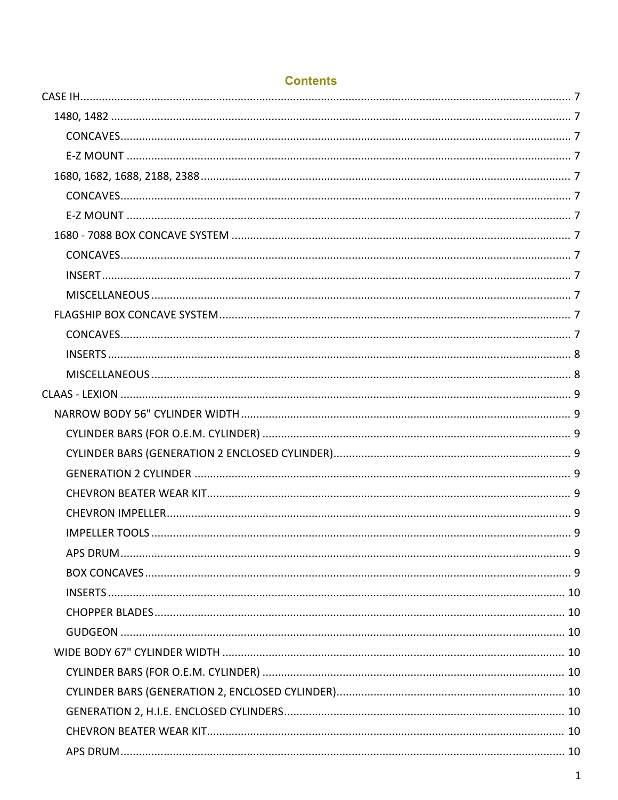## **Contents**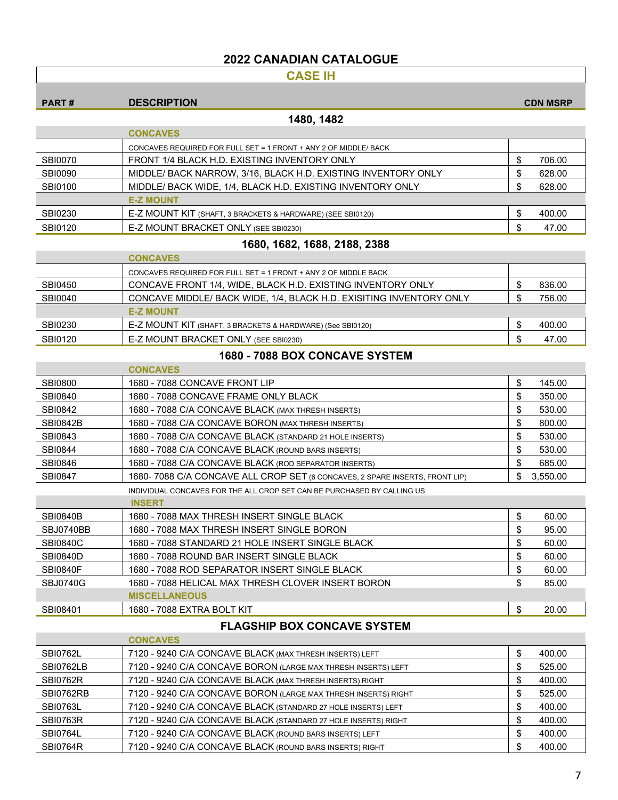I

## **CASE IH**

|                                | UAVL III                                                            |    |                 |
|--------------------------------|---------------------------------------------------------------------|----|-----------------|
| <b>PART#</b>                   | <b>DESCRIPTION</b>                                                  |    | <b>CDN MSRP</b> |
|                                | 1480, 1482                                                          |    |                 |
|                                | <b>CONCAVES</b>                                                     |    |                 |
|                                | CONCAVES REQUIRED FOR FULL SET = 1 FRONT + ANY 2 OF MIDDLE/ BACK    |    |                 |
| <b>SBI0070</b>                 | FRONT 1/4 BLACK H.D. EXISTING INVENTORY ONLY                        | \$ | 706.00          |
| <b>SBI0090</b>                 | MIDDLE/ BACK NARROW, 3/16, BLACK H.D. EXISTING INVENTORY ONLY       | \$ | 628.00          |
| <b>SBI0100</b>                 | MIDDLE/ BACK WIDE, 1/4, BLACK H.D. EXISTING INVENTORY ONLY          | \$ | 628.00          |
|                                | <b>E-Z MOUNT</b>                                                    |    |                 |
| SBI0230                        | E-Z MOUNT KIT (SHAFT, 3 BRACKETS & HARDWARE) (SEE SBI0120)          | \$ | 400.00          |
| SBI0120                        | E-Z MOUNT BRACKET ONLY (SEE SBI0230)                                | \$ | 47.00           |
|                                | 1680, 1682, 1688, 2188, 2388                                        |    |                 |
|                                | <b>CONCAVES</b>                                                     |    |                 |
|                                | CONCAVES REQUIRED FOR FULL SET = 1 FRONT + ANY 2 OF MIDDLE BACK     |    |                 |
| SBI0450                        | CONCAVE FRONT 1/4, WIDE, BLACK H.D. EXISTING INVENTORY ONLY         | \$ | 836.00          |
| SBI0040                        | CONCAVE MIDDLE/ BACK WIDE, 1/4, BLACK H.D. EXISITING INVENTORY ONLY | \$ | 756.00          |
|                                | <b>E-Z MOUNT</b>                                                    |    |                 |
| SBI0230                        | E-Z MOUNT KIT (SHAFT, 3 BRACKETS & HARDWARE) (See SBI0120)          | \$ | 400.00          |
| <b>SBI0120</b>                 | E-Z MOUNT BRACKET ONLY (SEE SBI0230)                                | \$ | 47.00           |
| 1680 - 7088 BOX CONCAVE SYSTEM |                                                                     |    |                 |
|                                | <b>CONCAVES</b>                                                     |    |                 |
| SBI0800                        | 1680 - 7088 CONCAVE FRONT LIP                                       | \$ | 145.00          |
| <b>SBI0840</b>                 | 1680 - 7088 CONCAVE FRAME ONLY BLACK                                | \$ | 350.00          |
| SBI0842                        | 1680 - 7088 C/A CONCAVE BLACK (MAX THRESH INSERTS)                  | \$ | 530.00          |
| <b>SBI0842B</b>                | 1680 - 7088 C/A CONCAVE BORON (MAX THRESH INSERTS)                  | \$ | 800.00          |

| <b>SBI0842B</b> | 1680 - 7088 C/A CONCAVE BORON (MAX THRESH INSERTS)                          | 800.00   |
|-----------------|-----------------------------------------------------------------------------|----------|
| SBI0843         | 1680 - 7088 C/A CONCAVE BLACK (STANDARD 21 HOLE INSERTS)                    | 530.00   |
| SBI0844         | 1680 - 7088 C/A CONCAVE BLACK (ROUND BARS INSERTS)                          | 530.00   |
| SBI0846         | 1680 - 7088 C/A CONCAVE BLACK (ROD SEPARATOR INSERTS)                       | 685.00   |
| SBI0847         | 1680-7088 C/A CONCAVE ALL CROP SET (6 CONCAVES, 2 SPARE INSERTS, FRONT LIP) | 3,550.00 |
|                 | INDIVIDUAL CONCAVES FOR THE ALL CROP SET CAN BE PURCHASED BY CALLING US     |          |
|                 | <b>INSERT</b>                                                               |          |

| <b>SBI0840B</b> | 1680 - 7088 MAX THRESH INSERT SINGLE BLACK         | 60.00 |
|-----------------|----------------------------------------------------|-------|
| SBJ0740BB       | 1680 - 7088 MAX THRESH INSERT SINGLE BORON         | 95.00 |
| SBI0840C        | 1680 - 7088 STANDARD 21 HOLF INSERT SINGLE BLACK.  | 60.00 |
| <b>SBI0840D</b> | 1680 - 7088 ROUND BAR INSERT SINGLE BLACK          | 60.00 |
| <b>SBI0840F</b> | 1680 - 7088 ROD SEPARATOR INSERT SINGLE BLACK      | 60.00 |
| <b>SBJ0740G</b> | 1680 - 7088 HELICAL MAX THRESH CLOVER INSERT BORON | 85.00 |
|                 | <b>MISCELLANEOUS</b>                               |       |
| SBI08401        | 1680 - 7088 EXTRA BOLT KIT                         | 20.00 |

#### **FLAGSHIP BOX CONCAVE SYSTEM**

|                 | <b>CONCAVES</b>                                                |        |
|-----------------|----------------------------------------------------------------|--------|
| <b>SBI0762L</b> | 7120 - 9240 C/A CONCAVE BLACK (MAX THRESH INSERTS) LEFT        | 400.00 |
| SBI0762LB       | 7120 - 9240 C/A CONCAVE BORON (LARGE MAX THRESH INSERTS) LEFT  | 525.00 |
| <b>SBI0762R</b> | 7120 - 9240 C/A CONCAVE BLACK (MAX THRESH INSERTS) RIGHT       | 400.00 |
| SBI0762RB       | 7120 - 9240 C/A CONCAVE BORON (LARGE MAX THRESH INSERTS) RIGHT | 525.00 |
| SBI0763L        | 7120 - 9240 C/A CONCAVE BLACK (STANDARD 27 HOLE INSERTS) LEFT  | 400.00 |
| <b>SBI0763R</b> | 7120 - 9240 C/A CONCAVE BLACK (STANDARD 27 HOLE INSERTS) RIGHT | 400.00 |
| <b>SBI0764L</b> | 7120 - 9240 C/A CONCAVE BLACK (ROUND BARS INSERTS) LEFT        | 400.00 |
| <b>SBI0764R</b> | 7120 - 9240 C/A CONCAVE BLACK (ROUND BARS INSERTS) RIGHT       | 400.00 |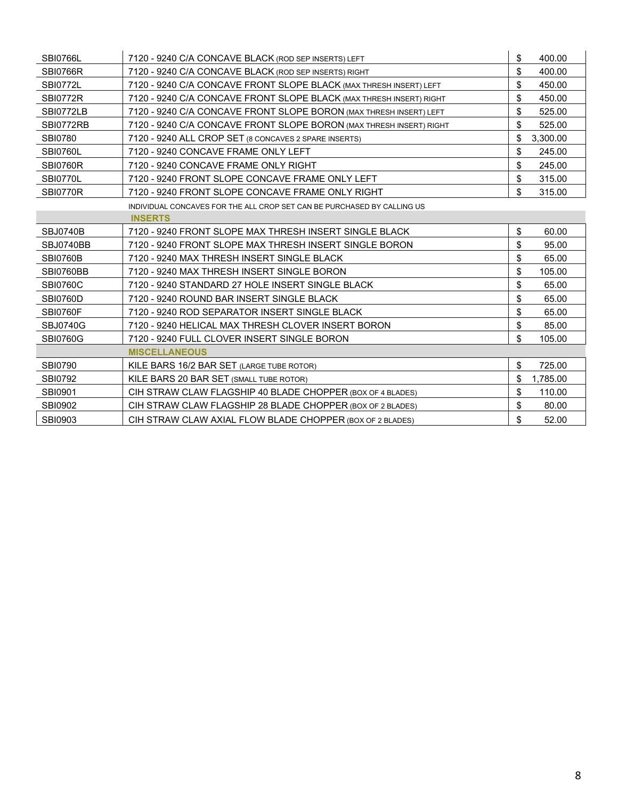| SBI0766L         | 7120 - 9240 C/A CONCAVE BLACK (ROD SEP INSERTS) LEFT                    | \$<br>400.00   |
|------------------|-------------------------------------------------------------------------|----------------|
| <b>SBI0766R</b>  | 7120 - 9240 C/A CONCAVE BLACK (ROD SEP INSERTS) RIGHT                   | \$<br>400.00   |
| <b>SBI0772L</b>  | 7120 - 9240 C/A CONCAVE FRONT SLOPE BLACK (MAX THRESH INSERT) LEFT      | \$<br>450.00   |
| <b>SBI0772R</b>  | 7120 - 9240 C/A CONCAVE FRONT SLOPE BLACK (MAX THRESH INSERT) RIGHT     | \$<br>450.00   |
| <b>SBI0772LB</b> | 7120 - 9240 C/A CONCAVE FRONT SLOPE BORON (MAX THRESH INSERT) LEFT      | \$<br>525.00   |
| SBI0772RB        | 7120 - 9240 C/A CONCAVE FRONT SLOPE BORON (MAX THRESH INSERT) RIGHT     | \$<br>525.00   |
| <b>SBI0780</b>   | 7120 - 9240 ALL CROP SET (8 CONCAVES 2 SPARE INSERTS)                   | \$<br>3,300.00 |
| SBI0760L         | 7120 - 9240 CONCAVE FRAME ONLY LEFT                                     | \$<br>245.00   |
| <b>SBI0760R</b>  | 7120 - 9240 CONCAVE FRAME ONLY RIGHT                                    | \$<br>245.00   |
| SBI0770L         | 7120 - 9240 FRONT SLOPE CONCAVE FRAME ONLY LEFT                         | \$<br>315.00   |
| <b>SBI0770R</b>  | 7120 - 9240 FRONT SLOPE CONCAVE FRAME ONLY RIGHT                        | \$<br>315.00   |
|                  | INDIVIDUAL CONCAVES FOR THE ALL CROP SET CAN BE PURCHASED BY CALLING US |                |
|                  | <b>INSERTS</b>                                                          |                |
| <b>SBJ0740B</b>  | 7120 - 9240 FRONT SLOPE MAX THRESH INSERT SINGLE BLACK                  | \$<br>60.00    |
| SBJ0740BB        | 7120 - 9240 FRONT SLOPE MAX THRESH INSERT SINGLE BORON                  | \$<br>95.00    |
| <b>SBI0760B</b>  | 7120 - 9240 MAX THRESH INSERT SINGLE BLACK                              | \$<br>65.00    |
| SBI0760BB        | 7120 - 9240 MAX THRESH INSERT SINGLE BORON                              | \$<br>105.00   |
| <b>SBI0760C</b>  | 7120 - 9240 STANDARD 27 HOLE INSERT SINGLE BLACK                        | \$<br>65.00    |
| <b>SBI0760D</b>  | 7120 - 9240 ROUND BAR INSERT SINGLE BLACK                               | \$<br>65.00    |
| <b>SBI0760F</b>  | 7120 - 9240 ROD SEPARATOR INSERT SINGLE BLACK                           | \$<br>65.00    |
| <b>SBJ0740G</b>  | 7120 - 9240 HELICAL MAX THRESH CLOVER INSERT BORON                      | \$<br>85.00    |
| <b>SBI0760G</b>  | 7120 - 9240 FULL CLOVER INSERT SINGLE BORON                             | \$<br>105.00   |
|                  | <b>MISCELLANEOUS</b>                                                    |                |
| <b>SBI0790</b>   | KILE BARS 16/2 BAR SET (LARGE TUBE ROTOR)                               | \$<br>725.00   |
| <b>SBI0792</b>   | KILE BARS 20 BAR SET (SMALL TUBE ROTOR)                                 | \$<br>1,785.00 |
| SBI0901          | CIH STRAW CLAW FLAGSHIP 40 BLADE CHOPPER (BOX OF 4 BLADES)              | \$<br>110.00   |
| <b>SBI0902</b>   | CIH STRAW CLAW FLAGSHIP 28 BLADE CHOPPER (BOX OF 2 BLADES)              | \$<br>80.00    |
| <b>SBI0903</b>   | CIH STRAW CLAW AXIAL FLOW BLADE CHOPPER (BOX OF 2 BLADES)               | \$<br>52.00    |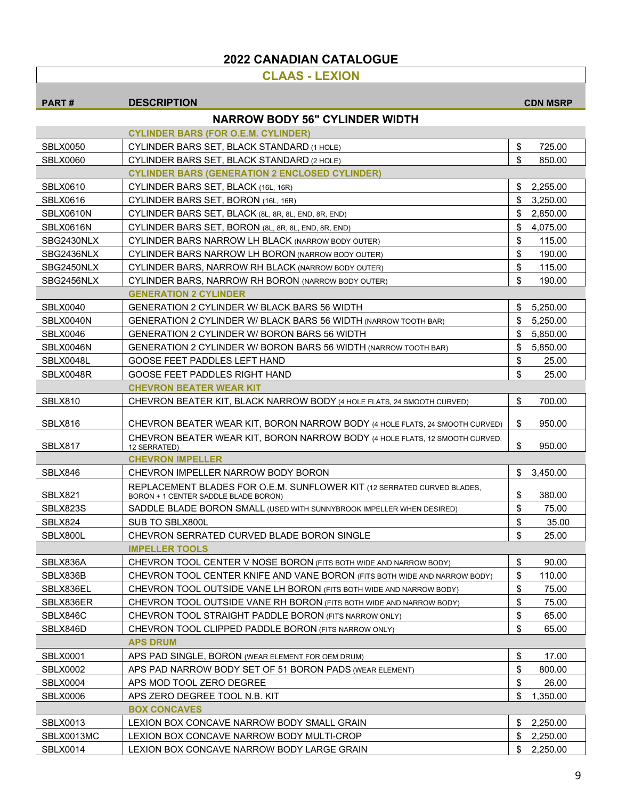# **CLAAS - LEXION**

| <b>PART#</b>    | <b>DESCRIPTION</b>                                                                                              |    | <b>CDN MSRP</b> |
|-----------------|-----------------------------------------------------------------------------------------------------------------|----|-----------------|
|                 | <b>NARROW BODY 56" CYLINDER WIDTH</b>                                                                           |    |                 |
|                 | CYLINDER BARS (FOR O.E.M. CYLINDER)                                                                             |    |                 |
| <b>SBLX0050</b> | CYLINDER BARS SET, BLACK STANDARD (1 HOLE)                                                                      | \$ | 725.00          |
| SBLX0060        | CYLINDER BARS SET, BLACK STANDARD (2 HOLE)                                                                      | \$ | 850.00          |
|                 | <b>CYLINDER BARS (GENERATION 2 ENCLOSED CYLINDER)</b>                                                           |    |                 |
| SBLX0610        | CYLINDER BARS SET, BLACK (16L, 16R)                                                                             | S  | 2,255.00        |
| SBLX0616        | CYLINDER BARS SET, BORON (16L, 16R)                                                                             | \$ | 3.250.00        |
| SBLX0610N       | CYLINDER BARS SET, BLACK (8L, 8R, 8L, END, 8R, END)                                                             | \$ | 2,850.00        |
| SBLX0616N       | CYLINDER BARS SET, BORON (8L, 8R, 8L, END, 8R, END)                                                             | \$ | 4,075.00        |
| SBG2430NLX      | CYLINDER BARS NARROW LH BLACK (NARROW BODY OUTER)                                                               | \$ | 115.00          |
| SBG2436NLX      | CYLINDER BARS NARROW LH BORON (NARROW BODY OUTER)                                                               | \$ | 190.00          |
| SBG2450NLX      | CYLINDER BARS, NARROW RH BLACK (NARROW BODY OUTER)                                                              | \$ | 115.00          |
| SBG2456NLX      | CYLINDER BARS, NARROW RH BORON (NARROW BODY OUTER)                                                              | \$ | 190.00          |
|                 | <b>GENERATION 2 CYLINDER</b>                                                                                    |    |                 |
| SBLX0040        | <b>GENERATION 2 CYLINDER W/ BLACK BARS 56 WIDTH</b>                                                             | \$ | 5,250.00        |
| SBLX0040N       | <b>GENERATION 2 CYLINDER W/ BLACK BARS 56 WIDTH (NARROW TOOTH BAR)</b>                                          | \$ | 5,250.00        |
| SBLX0046        | GENERATION 2 CYLINDER W/ BORON BARS 56 WIDTH                                                                    | \$ | 5,850.00        |
| SBLX0046N       | <b>GENERATION 2 CYLINDER W/ BORON BARS 56 WIDTH (NARROW TOOTH BAR)</b>                                          | \$ | 5.850.00        |
| SBLX0048L       | GOOSE FEET PADDLES LEFT HAND                                                                                    | \$ | 25.00           |
| SBLX0048R       | GOOSE FEET PADDLES RIGHT HAND                                                                                   | \$ | 25.00           |
|                 | <b>CHEVRON BEATER WEAR KIT</b>                                                                                  |    |                 |
| SBLX810         | CHEVRON BEATER KIT, BLACK NARROW BODY (4 HOLE FLATS, 24 SMOOTH CURVED)                                          | \$ | 700.00          |
| SBLX816         | CHEVRON BEATER WEAR KIT, BORON NARROW BODY (4 HOLE FLATS, 24 SMOOTH CURVED)                                     | \$ | 950.00          |
| SBLX817         | CHEVRON BEATER WEAR KIT, BORON NARROW BODY (4 HOLE FLATS, 12 SMOOTH CURVED,<br>12 SERRATED)                     | \$ | 950.00          |
|                 | <b>CHEVRON IMPELLER</b>                                                                                         |    |                 |
| SBLX846         | CHEVRON IMPELLER NARROW BODY BORON                                                                              | \$ | 3,450.00        |
| SBLX821         | REPLACEMENT BLADES FOR O.E.M. SUNFLOWER KIT (12 SERRATED CURVED BLADES,<br>BORON + 1 CENTER SADDLE BLADE BORON) | \$ | 380.00          |
| SBLX823S        | SADDLE BLADE BORON SMALL (USED WITH SUNNYBROOK IMPELLER WHEN DESIRED)                                           | \$ | 75.00           |
| SBLX824         | SUB TO SBLX800L                                                                                                 | \$ | 35.00           |
| SBLX800L        | CHEVRON SERRATED CURVED BLADE BORON SINGLE                                                                      | \$ | 25.00           |
|                 | <b>IMPELLER TOOLS</b>                                                                                           |    |                 |
| SBLX836A        | CHEVRON TOOL CENTER V NOSE BORON (FITS BOTH WIDE AND NARROW BODY)                                               | \$ | 90.00           |
| SBLX836B        | CHEVRON TOOL CENTER KNIFE AND VANE BORON (FITS BOTH WIDE AND NARROW BODY)                                       | \$ | 110.00          |
| SBLX836EL       | CHEVRON TOOL OUTSIDE VANE LH BORON (FITS BOTH WIDE AND NARROW BODY)                                             | \$ | 75.00           |
| SBLX836ER       | CHEVRON TOOL OUTSIDE VANE RH BORON (FITS BOTH WIDE AND NARROW BODY)                                             | \$ | 75.00           |
| SBLX846C        | CHEVRON TOOL STRAIGHT PADDLE BORON (FITS NARROW ONLY)                                                           | \$ | 65.00           |
| SBLX846D        | CHEVRON TOOL CLIPPED PADDLE BORON (FITS NARROW ONLY)                                                            | \$ | 65.00           |
|                 | <b>APS DRUM</b>                                                                                                 |    |                 |
| <b>SBLX0001</b> | APS PAD SINGLE, BORON (WEAR ELEMENT FOR OEM DRUM)                                                               | \$ | 17.00           |
| <b>SBLX0002</b> | APS PAD NARROW BODY SET OF 51 BORON PADS (WEAR ELEMENT)                                                         | \$ | 800.00          |
| SBLX0004        | APS MOD TOOL ZERO DEGREE                                                                                        | \$ | 26.00           |
| SBLX0006        | APS ZERO DEGREE TOOL N.B. KIT                                                                                   | \$ | 1,350.00        |
|                 | <b>BOX CONCAVES</b>                                                                                             |    |                 |
| <b>SBLX0013</b> | LEXION BOX CONCAVE NARROW BODY SMALL GRAIN                                                                      | \$ | 2,250.00        |
| SBLX0013MC      | LEXION BOX CONCAVE NARROW BODY MULTI-CROP                                                                       | \$ | 2,250.00        |
| <b>SBLX0014</b> | LEXION BOX CONCAVE NARROW BODY LARGE GRAIN                                                                      | \$ | 2,250.00        |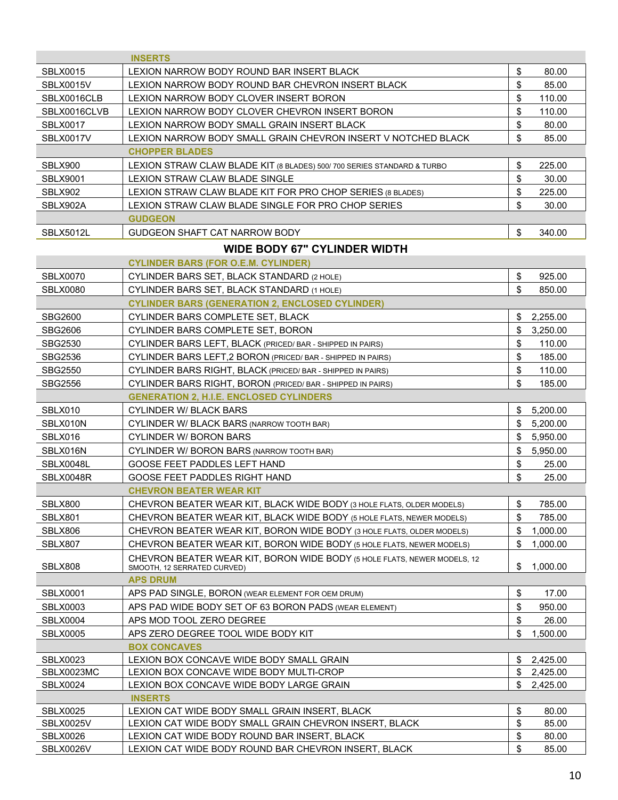|                 | <b>INSERTS</b>                                                           |                |
|-----------------|--------------------------------------------------------------------------|----------------|
| <b>SBLX0015</b> | LEXION NARROW BODY ROUND BAR INSERT BLACK                                | \$<br>80.00    |
| SBLX0015V       | LEXION NARROW BODY ROUND BAR CHEVRON INSERT BLACK                        | \$<br>85.00    |
| SBLX0016CLB     | LEXION NARROW BODY CLOVER INSERT BORON                                   | \$<br>110.00   |
| SBLX0016CLVB    | LEXION NARROW BODY CLOVER CHEVRON INSERT BORON                           | \$<br>110.00   |
| <b>SBLX0017</b> | LEXION NARROW BODY SMALL GRAIN INSERT BLACK                              | \$<br>80.00    |
| SBLX0017V       | LEXION NARROW BODY SMALL GRAIN CHEVRON INSERT V NOTCHED BLACK            | \$<br>85.00    |
|                 | <b>CHOPPER BLADES</b>                                                    |                |
| SBLX900         | LEXION STRAW CLAW BLADE KIT (8 BLADES) 500/700 SERIES STANDARD & TURBO   | \$<br>225.00   |
| <b>SBLX9001</b> | LEXION STRAW CLAW BLADE SINGLE                                           | \$<br>30.00    |
| SBLX902         | LEXION STRAW CLAW BLADE KIT FOR PRO CHOP SERIES (8 BLADES)               | \$<br>225.00   |
| SBLX902A        | LEXION STRAW CLAW BLADE SINGLE FOR PRO CHOP SERIES                       | \$<br>30.00    |
|                 | <b>GUDGEON</b>                                                           |                |
| SBLX5012L       | GUDGEON SHAFT CAT NARROW BODY                                            | \$<br>340.00   |
|                 | <b>WIDE BODY 67" CYLINDER WIDTH</b>                                      |                |
|                 | <b>CYLINDER BARS (FOR O.E.M. CYLINDER)</b>                               |                |
| <b>SBLX0070</b> | CYLINDER BARS SET, BLACK STANDARD (2 HOLE)                               | \$<br>925.00   |
| SBLX0080        | CYLINDER BARS SET, BLACK STANDARD (1 HOLE)                               | \$<br>850.00   |
|                 | <b>CYLINDER BARS (GENERATION 2, ENCLOSED CYLINDER)</b>                   |                |
| SBG2600         | CYLINDER BARS COMPLETE SET, BLACK                                        | \$<br>2,255.00 |
| SBG2606         | CYLINDER BARS COMPLETE SET, BORON                                        | \$<br>3,250.00 |
| SBG2530         | CYLINDER BARS LEFT, BLACK (PRICED/BAR - SHIPPED IN PAIRS)                | \$<br>110.00   |
| SBG2536         | CYLINDER BARS LEFT, 2 BORON (PRICED/ BAR - SHIPPED IN PAIRS)             | \$<br>185.00   |
| SBG2550         | CYLINDER BARS RIGHT, BLACK (PRICED/ BAR - SHIPPED IN PAIRS)              | \$<br>110.00   |
| <b>SBG2556</b>  | CYLINDER BARS RIGHT, BORON (PRICED/ BAR - SHIPPED IN PAIRS)              | \$<br>185.00   |
|                 | <b>GENERATION 2, H.I.E. ENCLOSED CYLINDERS</b>                           |                |
| SBLX010         | CYLINDER W/ BLACK BARS                                                   | 5,200.00<br>S  |
| SBLX010N        | CYLINDER W/ BLACK BARS (NARROW TOOTH BAR)                                | \$<br>5,200.00 |
| SBLX016         | CYLINDER W/ BORON BARS                                                   | \$<br>5,950.00 |
| SBLX016N        | CYLINDER W/ BORON BARS (NARROW TOOTH BAR)                                | \$<br>5,950.00 |
| SBLX0048L       | GOOSE FEET PADDLES LEFT HAND                                             | \$<br>25.00    |
| SBLX0048R       | GOOSE FEET PADDLES RIGHT HAND                                            | \$<br>25.00    |
|                 | <b>CHEVRON BEATER WEAR KIT</b>                                           |                |
| SBLX800         | CHEVRON BEATER WEAR KIT, BLACK WIDE BODY (3 HOLE FLATS, OLDER MODELS)    | \$<br>785.00   |
| SBLX801         | CHEVRON BEATER WEAR KIT, BLACK WIDE BODY (5 HOLE FLATS, NEWER MODELS)    | \$<br>785.00   |
| SBLX806         | CHEVRON BEATER WEAR KIT, BORON WIDE BODY (3 HOLE FLATS, OLDER MODELS)    | \$<br>1,000.00 |
| SBLX807         | CHEVRON BEATER WEAR KIT, BORON WIDE BODY (5 HOLE FLATS, NEWER MODELS)    | \$<br>1,000.00 |
|                 | CHEVRON BEATER WEAR KIT, BORON WIDE BODY (5 HOLE FLATS, NEWER MODELS, 12 |                |
| SBLX808         | SMOOTH, 12 SERRATED CURVED)                                              | \$<br>1.000.00 |
|                 | <b>APS DRUM</b>                                                          |                |
| <b>SBLX0001</b> | APS PAD SINGLE, BORON (WEAR ELEMENT FOR OEM DRUM)                        | \$<br>17.00    |
| <b>SBLX0003</b> | APS PAD WIDE BODY SET OF 63 BORON PADS (WEAR ELEMENT)                    | \$<br>950.00   |
| SBLX0004        | APS MOD TOOL ZERO DEGREE                                                 | \$<br>26.00    |
| <b>SBLX0005</b> | APS ZERO DEGREE TOOL WIDE BODY KIT                                       | \$<br>1,500.00 |
|                 | <b>BOX CONCAVES</b>                                                      |                |
| <b>SBLX0023</b> | LEXION BOX CONCAVE WIDE BODY SMALL GRAIN                                 | 2,425.00<br>S  |
| SBLX0023MC      | LEXION BOX CONCAVE WIDE BODY MULTI-CROP                                  | 2,425.00<br>\$ |
| <b>SBLX0024</b> | LEXION BOX CONCAVE WIDE BODY LARGE GRAIN                                 | \$<br>2,425.00 |
|                 | <b>INSERTS</b>                                                           |                |
| <b>SBLX0025</b> | LEXION CAT WIDE BODY SMALL GRAIN INSERT, BLACK                           | \$<br>80.00    |
| SBLX0025V       | LEXION CAT WIDE BODY SMALL GRAIN CHEVRON INSERT, BLACK                   | \$<br>85.00    |
| SBLX0026        | LEXION CAT WIDE BODY ROUND BAR INSERT, BLACK                             | \$<br>80.00    |
| SBLX0026V       | LEXION CAT WIDE BODY ROUND BAR CHEVRON INSERT, BLACK                     | \$<br>85.00    |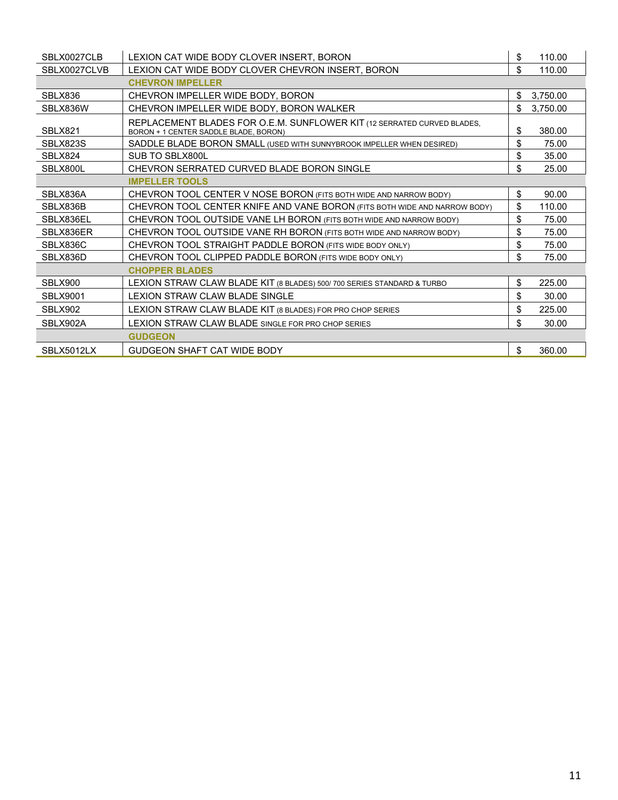| SBLX0027CLB     | LEXION CAT WIDE BODY CLOVER INSERT, BORON                                                                        | \$<br>110.00   |
|-----------------|------------------------------------------------------------------------------------------------------------------|----------------|
| SBLX0027CLVB    | LEXION CAT WIDE BODY CLOVER CHEVRON INSERT, BORON                                                                | \$<br>110.00   |
|                 | <b>CHEVRON IMPELLER</b>                                                                                          |                |
| SBLX836         | CHEVRON IMPELLER WIDE BODY, BORON                                                                                | \$<br>3,750.00 |
| SBLX836W        | CHEVRON IMPELLER WIDE BODY, BORON WALKER                                                                         | \$<br>3.750.00 |
| SBLX821         | REPLACEMENT BLADES FOR O.E.M. SUNFLOWER KIT (12 SERRATED CURVED BLADES,<br>BORON + 1 CENTER SADDLE BLADE, BORON) | \$<br>380.00   |
| SBLX823S        | SADDLE BLADE BORON SMALL (USED WITH SUNNYBROOK IMPELLER WHEN DESIRED)                                            | \$<br>75.00    |
| SBLX824         | SUB TO SBLX800L                                                                                                  | \$<br>35.00    |
| SBLX800L        | CHEVRON SERRATED CURVED BLADE BORON SINGLE                                                                       | \$<br>25.00    |
|                 | <b>IMPELLER TOOLS</b>                                                                                            |                |
| SBLX836A        | CHEVRON TOOL CENTER V NOSE BORON (FITS BOTH WIDE AND NARROW BODY)                                                | \$<br>90.00    |
| SBLX836B        | CHEVRON TOOL CENTER KNIFE AND VANE BORON (FITS BOTH WIDE AND NARROW BODY)                                        | \$<br>110.00   |
| SBLX836EL       | CHEVRON TOOL OUTSIDE VANE LH BORON (FITS BOTH WIDE AND NARROW BODY)                                              | \$<br>75.00    |
| SBLX836ER       | CHEVRON TOOL OUTSIDE VANE RH BORON (FITS BOTH WIDE AND NARROW BODY)                                              | \$<br>75.00    |
| SBLX836C        | CHEVRON TOOL STRAIGHT PADDLE BORON (FITS WIDE BODY ONLY)                                                         | \$<br>75.00    |
| SBLX836D        | CHEVRON TOOL CLIPPED PADDLE BORON (FITS WIDE BODY ONLY)                                                          | \$<br>75.00    |
|                 | <b>CHOPPER BLADES</b>                                                                                            |                |
| SBLX900         | LEXION STRAW CLAW BLADE KIT (8 BLADES) 500/ 700 SERIES STANDARD & TURBO                                          | \$<br>225.00   |
| <b>SBLX9001</b> | LEXION STRAW CLAW BLADE SINGLE                                                                                   | \$<br>30.00    |
| SBLX902         | LEXION STRAW CLAW BLADE KIT (8 BLADES) FOR PRO CHOP SERIES                                                       | \$<br>225.00   |
| SBLX902A        | LEXION STRAW CLAW BLADE SINGLE FOR PRO CHOP SERIES                                                               | \$<br>30.00    |
|                 | <b>GUDGEON</b>                                                                                                   |                |
| SBLX5012LX      | <b>GUDGEON SHAFT CAT WIDE BODY</b>                                                                               | \$<br>360.00   |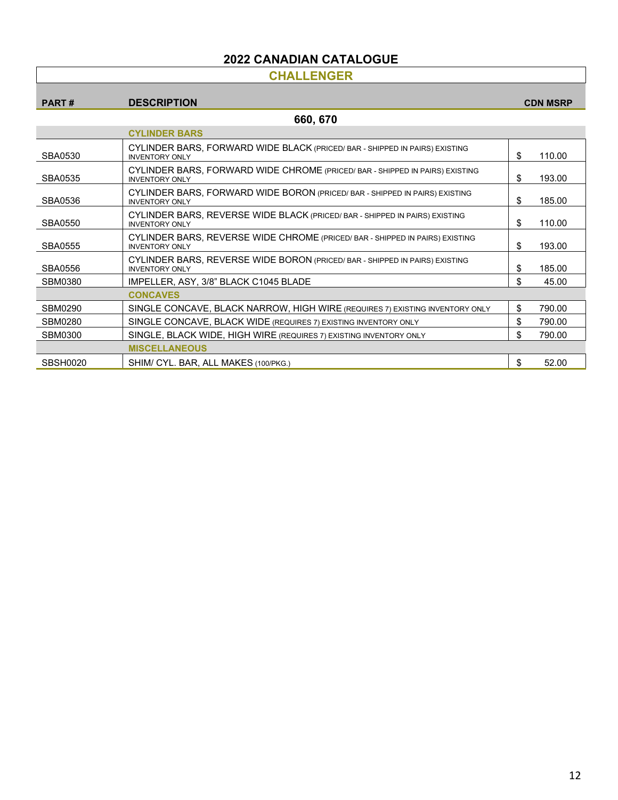**CHALLENGER** 

| <b>PART#</b>    | <b>DESCRIPTION</b>                                                                                    | <b>CDN MSRP</b> |
|-----------------|-------------------------------------------------------------------------------------------------------|-----------------|
|                 | 660, 670                                                                                              |                 |
|                 | <b>CYLINDER BARS</b>                                                                                  |                 |
| SBA0530         | CYLINDER BARS, FORWARD WIDE BLACK (PRICED/ BAR - SHIPPED IN PAIRS) EXISTING<br><b>INVENTORY ONLY</b>  | \$<br>110.00    |
| SBA0535         | CYLINDER BARS, FORWARD WIDE CHROME (PRICED/ BAR - SHIPPED IN PAIRS) EXISTING<br><b>INVENTORY ONLY</b> | \$<br>193.00    |
| SBA0536         | CYLINDER BARS, FORWARD WIDE BORON (PRICED/ BAR - SHIPPED IN PAIRS) EXISTING<br><b>INVENTORY ONLY</b>  | \$<br>185.00    |
| SBA0550         | CYLINDER BARS, REVERSE WIDE BLACK (PRICED/ BAR - SHIPPED IN PAIRS) EXISTING<br><b>INVENTORY ONLY</b>  | \$<br>110.00    |
| SBA0555         | CYLINDER BARS, REVERSE WIDE CHROME (PRICED/ BAR - SHIPPED IN PAIRS) EXISTING<br><b>INVENTORY ONLY</b> | \$<br>193.00    |
| SBA0556         | CYLINDER BARS, REVERSE WIDE BORON (PRICED/ BAR - SHIPPED IN PAIRS) EXISTING<br><b>INVENTORY ONLY</b>  | \$<br>185.00    |
| <b>SBM0380</b>  | IMPELLER, ASY, 3/8" BLACK C1045 BLADE                                                                 | \$<br>45.00     |
|                 | <b>CONCAVES</b>                                                                                       |                 |
| <b>SBM0290</b>  | SINGLE CONCAVE, BLACK NARROW, HIGH WIRE (REQUIRES 7) EXISTING INVENTORY ONLY                          | \$<br>790.00    |
| <b>SBM0280</b>  | SINGLE CONCAVE, BLACK WIDE (REQUIRES 7) EXISTING INVENTORY ONLY                                       | \$<br>790.00    |
| <b>SBM0300</b>  | SINGLE, BLACK WIDE, HIGH WIRE (REQUIRES 7) EXISTING INVENTORY ONLY                                    | \$<br>790.00    |
|                 | <b>MISCELLANEOUS</b>                                                                                  |                 |
| <b>SBSH0020</b> | SHIM/ CYL. BAR, ALL MAKES (100/PKG.)                                                                  | \$<br>52.00     |

12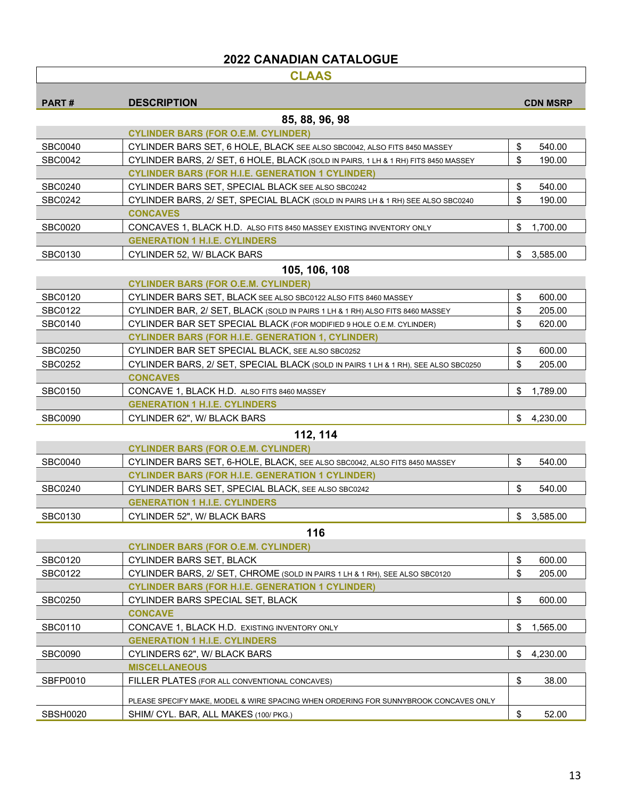#### **CLAAS**

| <b>PART#</b>    | <b>DESCRIPTION</b>                                                                   |     | <b>CDN MSRP</b> |
|-----------------|--------------------------------------------------------------------------------------|-----|-----------------|
|                 | 85, 88, 96, 98                                                                       |     |                 |
|                 | <b>CYLINDER BARS (FOR O.E.M. CYLINDER)</b>                                           |     |                 |
| <b>SBC0040</b>  | CYLINDER BARS SET, 6 HOLE, BLACK SEE ALSO SBC0042, ALSO FITS 8450 MASSEY             | \$  | 540.00          |
| <b>SBC0042</b>  | CYLINDER BARS, 2/ SET, 6 HOLE, BLACK (SOLD IN PAIRS, 1 LH & 1 RH) FITS 8450 MASSEY   | \$  | 190.00          |
|                 | <b>CYLINDER BARS (FOR H.I.E. GENERATION 1 CYLINDER)</b>                              |     |                 |
| SBC0240         | CYLINDER BARS SET, SPECIAL BLACK SEE ALSO SBC0242                                    | \$  | 540.00          |
| SBC0242         | CYLINDER BARS, 2/ SET, SPECIAL BLACK (SOLD IN PAIRS LH & 1 RH) SEE ALSO SBC0240      | \$  | 190.00          |
|                 | <b>CONCAVES</b>                                                                      |     |                 |
| <b>SBC0020</b>  | CONCAVES 1. BLACK H.D. ALSO FITS 8450 MASSEY EXISTING INVENTORY ONLY                 | \$  | 1,700.00        |
|                 | <b>GENERATION 1 H.I.E. CYLINDERS</b>                                                 |     |                 |
| SBC0130         | CYLINDER 52, W/ BLACK BARS                                                           |     | \$3,585.00      |
|                 | 105, 106, 108                                                                        |     |                 |
|                 | <b>CYLINDER BARS (FOR O.E.M. CYLINDER)</b>                                           |     |                 |
| SBC0120         | CYLINDER BARS SET. BLACK SEE ALSO SBC0122 ALSO FITS 8460 MASSEY                      | \$  | 600.00          |
| SBC0122         | CYLINDER BAR, 2/ SET, BLACK (SOLD IN PAIRS 1 LH & 1 RH) ALSO FITS 8460 MASSEY        | \$  | 205.00          |
| SBC0140         | CYLINDER BAR SET SPECIAL BLACK (FOR MODIFIED 9 HOLE O.E.M. CYLINDER)                 | \$  | 620.00          |
|                 | <b>CYLINDER BARS (FOR H.I.E. GENERATION 1, CYLINDER)</b>                             |     |                 |
| <b>SBC0250</b>  | CYLINDER BAR SET SPECIAL BLACK, SEE ALSO SBC0252                                     | \$  | 600.00          |
| SBC0252         | CYLINDER BARS, 2/ SET, SPECIAL BLACK (SOLD IN PAIRS 1 LH & 1 RH), SEE ALSO SBC0250   | \$  | 205.00          |
|                 | <b>CONCAVES</b>                                                                      |     |                 |
| SBC0150         | CONCAVE 1. BLACK H.D. ALSO FITS 8460 MASSEY                                          | \$  | 1,789.00        |
|                 | <b>GENERATION 1 H.I.E. CYLINDERS</b>                                                 |     |                 |
| <b>SBC0090</b>  | CYLINDER 62", W/ BLACK BARS                                                          | \$. | 4,230.00        |
|                 | 112, 114                                                                             |     |                 |
|                 | <b>CYLINDER BARS (FOR O.E.M. CYLINDER)</b>                                           |     |                 |
| <b>SBC0040</b>  | CYLINDER BARS SET, 6-HOLE, BLACK, SEE ALSO SBC0042, ALSO FITS 8450 MASSEY            | \$  | 540.00          |
|                 | <b>CYLINDER BARS (FOR H.I.E. GENERATION 1 CYLINDER)</b>                              |     |                 |
| SBC0240         | CYLINDER BARS SET, SPECIAL BLACK, SEE ALSO SBC0242                                   | \$  | 540.00          |
|                 | <b>GENERATION 1 H.I.E. CYLINDERS</b>                                                 |     |                 |
| SBC0130         | CYLINDER 52", W/ BLACK BARS                                                          |     | \$3,585.00      |
|                 | 116                                                                                  |     |                 |
|                 | <b>CYLINDER BARS (FOR O.E.M. CYLINDER)</b>                                           |     |                 |
| SBC0120         | <b>CYLINDER BARS SET, BLACK</b>                                                      | \$  | 600.00          |
| <b>SBC0122</b>  | CYLINDER BARS, 2/ SET, CHROME (SOLD IN PAIRS 1 LH & 1 RH), SEE ALSO SBC0120          | \$  | 205.00          |
|                 | <b>CYLINDER BARS (FOR H.I.E. GENERATION 1 CYLINDER)</b>                              |     |                 |
| <b>SBC0250</b>  | CYLINDER BARS SPECIAL SET, BLACK                                                     | \$  | 600.00          |
|                 | <b>CONCAVE</b>                                                                       |     |                 |
| SBC0110         | CONCAVE 1, BLACK H.D. EXISTING INVENTORY ONLY                                        | \$  | 1,565.00        |
|                 | <b>GENERATION 1 H.I.E. CYLINDERS</b>                                                 |     |                 |
| <b>SBC0090</b>  | CYLINDERS 62". W/ BLACK BARS                                                         | \$  | 4,230.00        |
|                 | <b>MISCELLANEOUS</b>                                                                 |     |                 |
| SBFP0010        | FILLER PLATES (FOR ALL CONVENTIONAL CONCAVES)                                        | \$  | 38.00           |
|                 | PLEASE SPECIFY MAKE, MODEL & WIRE SPACING WHEN ORDERING FOR SUNNYBROOK CONCAVES ONLY |     |                 |
|                 |                                                                                      |     |                 |
| <b>SBSH0020</b> | SHIM/ CYL. BAR, ALL MAKES (100/ PKG.)                                                | \$  | 52.00           |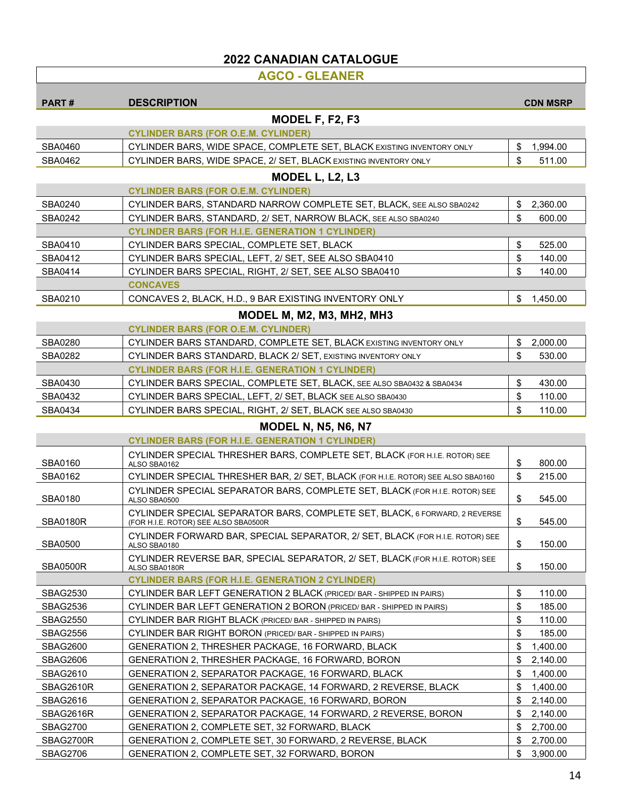# **AGCO - GLEANER**

| <b>PART#</b>    | <b>DESCRIPTION</b>                                                                                                 | <b>CDN MSRP</b> |
|-----------------|--------------------------------------------------------------------------------------------------------------------|-----------------|
|                 | MODEL F, F2, F3                                                                                                    |                 |
|                 | <b>CYLINDER BARS (FOR O.E.M. CYLINDER)</b>                                                                         |                 |
| SBA0460         | CYLINDER BARS, WIDE SPACE, COMPLETE SET, BLACK EXISTING INVENTORY ONLY                                             | \$<br>1,994.00  |
| SBA0462         | CYLINDER BARS, WIDE SPACE, 2/ SET, BLACK EXISTING INVENTORY ONLY                                                   | \$<br>511.00    |
|                 |                                                                                                                    |                 |
|                 | MODEL L, L2, L3                                                                                                    |                 |
|                 | <b>CYLINDER BARS (FOR O.E.M. CYLINDER)</b>                                                                         |                 |
| SBA0240         | CYLINDER BARS, STANDARD NARROW COMPLETE SET, BLACK, SEE ALSO SBA0242                                               | \$<br>2,360.00  |
| SBA0242         | CYLINDER BARS, STANDARD, 2/ SET, NARROW BLACK, SEE ALSO SBA0240                                                    | \$<br>600.00    |
|                 | <b>CYLINDER BARS (FOR H.I.E. GENERATION 1 CYLINDER)</b>                                                            |                 |
| SBA0410         | CYLINDER BARS SPECIAL, COMPLETE SET, BLACK                                                                         | \$<br>525.00    |
| SBA0412         | CYLINDER BARS SPECIAL, LEFT, 2/ SET, SEE ALSO SBA0410                                                              | \$<br>140.00    |
| SBA0414         | CYLINDER BARS SPECIAL, RIGHT, 2/ SET, SEE ALSO SBA0410                                                             | \$<br>140.00    |
|                 | <b>CONCAVES</b>                                                                                                    |                 |
| SBA0210         | CONCAVES 2, BLACK, H.D., 9 BAR EXISTING INVENTORY ONLY                                                             | \$<br>1,450.00  |
|                 | MODEL M, M2, M3, MH2, MH3                                                                                          |                 |
|                 | <b>CYLINDER BARS (FOR O.E.M. CYLINDER)</b>                                                                         |                 |
| <b>SBA0280</b>  | CYLINDER BARS STANDARD, COMPLETE SET, BLACK EXISTING INVENTORY ONLY                                                | \$<br>2,000.00  |
| SBA0282         | CYLINDER BARS STANDARD, BLACK 2/ SET, EXISTING INVENTORY ONLY                                                      | \$<br>530.00    |
|                 | <b>CYLINDER BARS (FOR H.I.E. GENERATION 1 CYLINDER)</b>                                                            |                 |
| SBA0430         | CYLINDER BARS SPECIAL, COMPLETE SET, BLACK, SEE ALSO SBA0432 & SBA0434                                             | \$<br>430.00    |
| SBA0432         | CYLINDER BARS SPECIAL, LEFT, 2/ SET, BLACK SEE ALSO SBA0430                                                        | \$<br>110.00    |
| SBA0434         | CYLINDER BARS SPECIAL, RIGHT, 2/ SET, BLACK SEE ALSO SBA0430                                                       | \$<br>110.00    |
|                 | <b>MODEL N, N5, N6, N7</b>                                                                                         |                 |
|                 | <b>CYLINDER BARS (FOR H.I.E. GENERATION 1 CYLINDER)</b>                                                            |                 |
| SBA0160         | CYLINDER SPECIAL THRESHER BARS, COMPLETE SET, BLACK (FOR H.I.E. ROTOR) SEE<br>ALSO SBA0162                         | \$<br>800.00    |
| SBA0162         | CYLINDER SPECIAL THRESHER BAR, 2/ SET, BLACK (FOR H.I.E. ROTOR) SEE ALSO SBA0160                                   | \$<br>215.00    |
| SBA0180         | CYLINDER SPECIAL SEPARATOR BARS, COMPLETE SET, BLACK (FOR H.I.E. ROTOR) SEE<br>ALSO SBA0500                        | \$<br>545.00    |
| <b>SBA0180R</b> | CYLINDER SPECIAL SEPARATOR BARS, COMPLETE SET, BLACK, 6 FORWARD, 2 REVERSE<br>(FOR H.I.E. ROTOR) SEE ALSO SBA0500R | \$<br>545.00    |
| <b>SBA0500</b>  | CYLINDER FORWARD BAR, SPECIAL SEPARATOR, 2/ SET, BLACK (FOR H.I.E. ROTOR) SEE<br>ALSO SBA0180                      | \$<br>150.00    |
| <b>SBA0500R</b> | CYLINDER REVERSE BAR, SPECIAL SEPARATOR, 2/ SET, BLACK (FOR H.I.E. ROTOR) SEE<br>ALSO SBA0180R                     | \$<br>150.00    |
|                 | <b>CYLINDER BARS (FOR H.I.E. GENERATION 2 CYLINDER)</b>                                                            |                 |
| <b>SBAG2530</b> | CYLINDER BAR LEFT GENERATION 2 BLACK (PRICED/ BAR - SHIPPED IN PAIRS)                                              | \$<br>110.00    |
| SBAG2536        | CYLINDER BAR LEFT GENERATION 2 BORON (PRICED/ BAR - SHIPPED IN PAIRS)                                              | \$<br>185.00    |
| <b>SBAG2550</b> | CYLINDER BAR RIGHT BLACK (PRICED/ BAR - SHIPPED IN PAIRS)                                                          | \$<br>110.00    |
| SBAG2556        | CYLINDER BAR RIGHT BORON (PRICED/ BAR - SHIPPED IN PAIRS)                                                          | \$<br>185.00    |
| <b>SBAG2600</b> | GENERATION 2, THRESHER PACKAGE, 16 FORWARD, BLACK                                                                  | \$<br>1,400.00  |
| <b>SBAG2606</b> | GENERATION 2, THRESHER PACKAGE, 16 FORWARD, BORON                                                                  | \$<br>2,140.00  |
| <b>SBAG2610</b> | GENERATION 2, SEPARATOR PACKAGE, 16 FORWARD, BLACK                                                                 | \$<br>1,400.00  |
| SBAG2610R       | GENERATION 2, SEPARATOR PACKAGE, 14 FORWARD, 2 REVERSE, BLACK                                                      | \$<br>1,400.00  |
| <b>SBAG2616</b> | GENERATION 2, SEPARATOR PACKAGE, 16 FORWARD, BORON                                                                 | \$<br>2,140.00  |
| SBAG2616R       | GENERATION 2, SEPARATOR PACKAGE, 14 FORWARD, 2 REVERSE, BORON                                                      | \$<br>2,140.00  |
| <b>SBAG2700</b> | GENERATION 2, COMPLETE SET, 32 FORWARD, BLACK                                                                      | \$<br>2,700.00  |
| SBAG2700R       | GENERATION 2, COMPLETE SET, 30 FORWARD, 2 REVERSE, BLACK                                                           | \$<br>2,700.00  |
| <b>SBAG2706</b> | GENERATION 2, COMPLETE SET, 32 FORWARD, BORON                                                                      | \$<br>3,900.00  |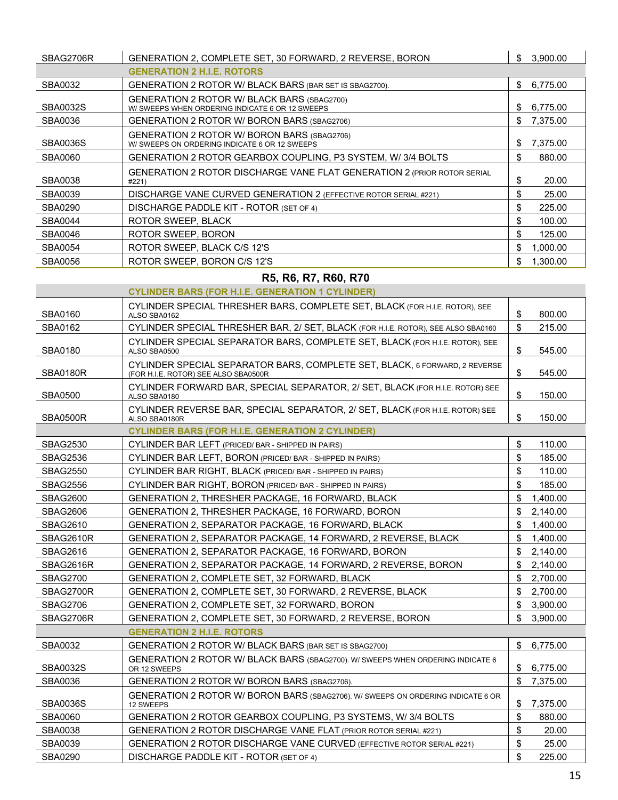| SBAG2706R      | GENERATION 2, COMPLETE SET, 30 FORWARD, 2 REVERSE, BORON                                      | \$. | 3,900.00 |
|----------------|-----------------------------------------------------------------------------------------------|-----|----------|
|                | <b>GENERATION 2 H.I.E. ROTORS</b>                                                             |     |          |
| SBA0032        | GENERATION 2 ROTOR W/ BLACK BARS (BAR SET IS SBAG2700).                                       | \$  | 6,775.00 |
| SBA0032S       | GENERATION 2 ROTOR W/ BLACK BARS (SBAG2700)<br>W/SWEEPS WHEN ORDERING INDICATE 6 OR 12 SWEEPS | \$. | 6,775.00 |
| SBA0036        | GENERATION 2 ROTOR W/ BORON BARS (SBAG2706)                                                   | \$  | 7,375.00 |
| SBA0036S       | GENERATION 2 ROTOR W/ BORON BARS (SBAG2706)<br>W/ SWEEPS ON ORDERING INDICATE 6 OR 12 SWEEPS  | \$  | 7,375.00 |
| <b>SBA0060</b> | GENERATION 2 ROTOR GEARBOX COUPLING, P3 SYSTEM, W/ 3/4 BOLTS                                  | \$  | 880.00   |
| SBA0038        | <b>GENERATION 2 ROTOR DISCHARGE VANE FLAT GENERATION 2 (PRIOR ROTOR SERIAL</b><br>#221)       | \$  | 20.00    |
| SBA0039        | DISCHARGE VANE CURVED GENERATION 2 (EFFECTIVE ROTOR SERIAL #221)                              | \$  | 25.00    |
| SBA0290        | DISCHARGE PADDLE KIT - ROTOR (SET OF 4)                                                       | \$  | 225.00   |
| SBA0044        | ROTOR SWEEP, BLACK                                                                            | \$  | 100.00   |
| SBA0046        | ROTOR SWEEP, BORON                                                                            | \$  | 125.00   |
| SBA0054        | ROTOR SWEEP, BLACK C/S 12'S                                                                   | \$  | 1,000.00 |
| <b>SBA0056</b> | ROTOR SWEEP, BORON C/S 12'S                                                                   | \$. | 1.300.00 |

## **R5, R6, R7, R60, R70**

|                 | <b>CYLINDER BARS (FOR H.I.E. GENERATION 1 CYLINDER)</b>                                                            |     |          |
|-----------------|--------------------------------------------------------------------------------------------------------------------|-----|----------|
| SBA0160         | CYLINDER SPECIAL THRESHER BARS, COMPLETE SET, BLACK (FOR H.I.E. ROTOR), SEE<br>ALSO SBA0162                        | \$  | 800.00   |
| SBA0162         | CYLINDER SPECIAL THRESHER BAR, 2/ SET, BLACK (FOR H.I.E. ROTOR), SEE ALSO SBA0160                                  | \$  | 215.00   |
| SBA0180         | CYLINDER SPECIAL SEPARATOR BARS, COMPLETE SET, BLACK (FOR H.I.E. ROTOR), SEE<br>ALSO SBA0500                       | \$  | 545.00   |
| <b>SBA0180R</b> | CYLINDER SPECIAL SEPARATOR BARS, COMPLETE SET, BLACK, 6 FORWARD, 2 REVERSE<br>(FOR H.I.E. ROTOR) SEE ALSO SBA0500R | \$  | 545.00   |
| <b>SBA0500</b>  | CYLINDER FORWARD BAR, SPECIAL SEPARATOR, 2/ SET, BLACK (FOR H.I.E. ROTOR) SEE<br>ALSO SBA0180                      | \$  | 150.00   |
| <b>SBA0500R</b> | CYLINDER REVERSE BAR, SPECIAL SEPARATOR, 2/ SET, BLACK (FOR H.I.E. ROTOR) SEE<br>ALSO SBA0180R                     | \$  | 150.00   |
|                 | <b>CYLINDER BARS (FOR H.I.E. GENERATION 2 CYLINDER)</b>                                                            |     |          |
| <b>SBAG2530</b> | CYLINDER BAR LEFT (PRICED/ BAR - SHIPPED IN PAIRS)                                                                 | \$  | 110.00   |
| <b>SBAG2536</b> | CYLINDER BAR LEFT, BORON (PRICED/BAR - SHIPPED IN PAIRS)                                                           | \$  | 185.00   |
| <b>SBAG2550</b> | CYLINDER BAR RIGHT, BLACK (PRICED/ BAR - SHIPPED IN PAIRS)                                                         | \$  | 110.00   |
| <b>SBAG2556</b> | CYLINDER BAR RIGHT, BORON (PRICED/ BAR - SHIPPED IN PAIRS)                                                         | \$  | 185.00   |
| <b>SBAG2600</b> | GENERATION 2, THRESHER PACKAGE, 16 FORWARD, BLACK                                                                  | \$  | 1,400.00 |
| SBAG2606        | GENERATION 2. THRESHER PACKAGE. 16 FORWARD. BORON                                                                  | \$  | 2.140.00 |
| <b>SBAG2610</b> | GENERATION 2, SEPARATOR PACKAGE, 16 FORWARD, BLACK                                                                 | \$  | 1,400.00 |
| SBAG2610R       | GENERATION 2. SEPARATOR PACKAGE. 14 FORWARD. 2 REVERSE. BLACK                                                      | \$. | 1.400.00 |
| <b>SBAG2616</b> | GENERATION 2, SEPARATOR PACKAGE, 16 FORWARD, BORON                                                                 | \$  | 2,140.00 |
| SBAG2616R       | GENERATION 2, SEPARATOR PACKAGE, 14 FORWARD, 2 REVERSE, BORON                                                      | \$  | 2,140.00 |
| <b>SBAG2700</b> | GENERATION 2, COMPLETE SET, 32 FORWARD, BLACK                                                                      | \$  | 2,700.00 |
| SBAG2700R       | GENERATION 2, COMPLETE SET, 30 FORWARD, 2 REVERSE, BLACK                                                           | \$  | 2,700.00 |
| <b>SBAG2706</b> | GENERATION 2, COMPLETE SET, 32 FORWARD, BORON                                                                      | \$  | 3,900.00 |
| SBAG2706R       | GENERATION 2, COMPLETE SET, 30 FORWARD, 2 REVERSE, BORON                                                           | \$  | 3.900.00 |
|                 | <b>GENERATION 2 H.I.E. ROTORS</b>                                                                                  |     |          |
| SBA0032         | GENERATION 2 ROTOR W/ BLACK BARS (BAR SET IS SBAG2700)                                                             | \$  | 6,775.00 |
| <b>SBA0032S</b> | GENERATION 2 ROTOR W/ BLACK BARS (SBAG2700). W/ SWEEPS WHEN ORDERING INDICATE 6<br>OR 12 SWEEPS                    | S   | 6,775.00 |
| SBA0036         | GENERATION 2 ROTOR W/ BORON BARS (SBAG2706).                                                                       | \$  | 7,375.00 |
| <b>SBA0036S</b> | GENERATION 2 ROTOR W/ BORON BARS (SBAG2706). W/ SWEEPS ON ORDERING INDICATE 6 OR<br>12 SWEEPS                      | \$  | 7.375.00 |
| <b>SBA0060</b>  | GENERATION 2 ROTOR GEARBOX COUPLING, P3 SYSTEMS, W/3/4 BOLTS                                                       | \$  | 880.00   |
| <b>SBA0038</b>  | <b>GENERATION 2 ROTOR DISCHARGE VANE FLAT (PRIOR ROTOR SERIAL #221)</b>                                            | \$  | 20.00    |
| <b>SBA0039</b>  | <b>GENERATION 2 ROTOR DISCHARGE VANE CURVED (EFFECTIVE ROTOR SERIAL #221)</b>                                      | \$  | 25.00    |
| <b>SBA0290</b>  | DISCHARGE PADDLE KIT - ROTOR (SET OF 4)                                                                            | \$  | 225.00   |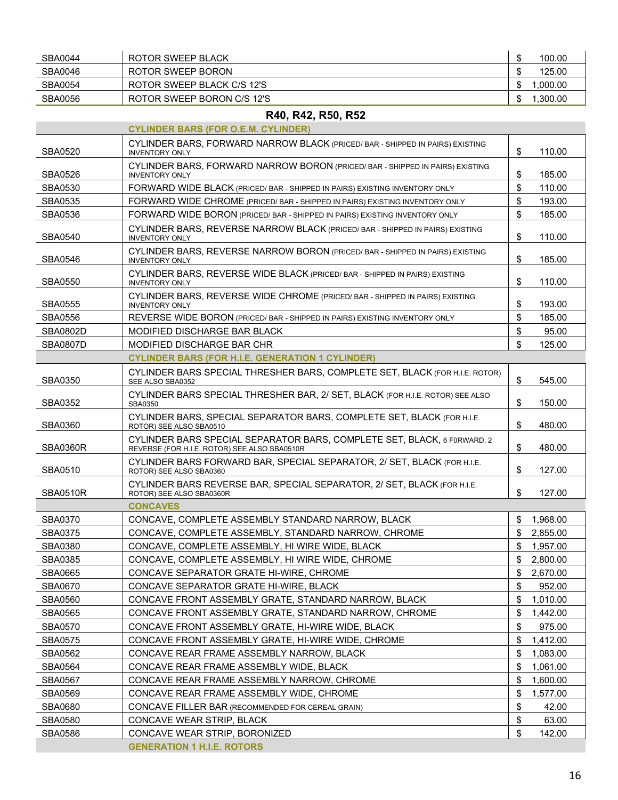| SBA0044         | ROTOR SWEEP BLACK                                                                                                       | \$<br>100.00      |
|-----------------|-------------------------------------------------------------------------------------------------------------------------|-------------------|
| <b>SBA0046</b>  | ROTOR SWEEP BORON                                                                                                       | \$<br>125.00      |
| <b>SBA0054</b>  | ROTOR SWEEP BLACK C/S 12'S                                                                                              | \$<br>1,000.00    |
| <b>SBA0056</b>  | ROTOR SWEEP BORON C/S 12'S                                                                                              | \$<br>1,300.00    |
|                 | R40, R42, R50, R52                                                                                                      |                   |
|                 | <b>CYLINDER BARS (FOR O.E.M. CYLINDER)</b>                                                                              |                   |
|                 | CYLINDER BARS, FORWARD NARROW BLACK (PRICED/ BAR - SHIPPED IN PAIRS) EXISTING                                           |                   |
| <b>SBA0520</b>  | <b>INVENTORY ONLY</b>                                                                                                   | \$<br>110.00      |
| <b>SBA0526</b>  | CYLINDER BARS, FORWARD NARROW BORON (PRICED/ BAR - SHIPPED IN PAIRS) EXISTING                                           | \$<br>185.00      |
| SBA0530         | <b>INVENTORY ONLY</b><br>FORWARD WIDE BLACK (PRICED/ BAR - SHIPPED IN PAIRS) EXISTING INVENTORY ONLY                    | \$<br>110.00      |
| SBA0535         | FORWARD WIDE CHROME (PRICED/ BAR - SHIPPED IN PAIRS) EXISTING INVENTORY ONLY                                            | \$<br>193.00      |
| SBA0536         | FORWARD WIDE BORON (PRICED/ BAR - SHIPPED IN PAIRS) EXISTING INVENTORY ONLY                                             | \$<br>185.00      |
|                 | CYLINDER BARS, REVERSE NARROW BLACK (PRICED/ BAR - SHIPPED IN PAIRS) EXISTING                                           |                   |
| <b>SBA0540</b>  | <b>INVENTORY ONLY</b>                                                                                                   | \$<br>110.00      |
| <b>SBA0546</b>  | CYLINDER BARS, REVERSE NARROW BORON (PRICED/ BAR - SHIPPED IN PAIRS) EXISTING<br><b>INVENTORY ONLY</b>                  | \$<br>185.00      |
| <b>SBA0550</b>  | CYLINDER BARS, REVERSE WIDE BLACK (PRICED/ BAR - SHIPPED IN PAIRS) EXISTING<br><b>INVENTORY ONLY</b>                    | \$<br>110.00      |
| <b>SBA0555</b>  | CYLINDER BARS, REVERSE WIDE CHROME (PRICED/ BAR - SHIPPED IN PAIRS) EXISTING<br><b>INVENTORY ONLY</b>                   | \$<br>193.00      |
| SBA0556         | REVERSE WIDE BORON (PRICED/ BAR - SHIPPED IN PAIRS) EXISTING INVENTORY ONLY                                             | \$<br>185.00      |
| <b>SBA0802D</b> | MODIFIED DISCHARGE BAR BLACK                                                                                            | \$<br>95.00       |
| <b>SBA0807D</b> | MODIFIED DISCHARGE BAR CHR                                                                                              | \$<br>125.00      |
|                 | <b>CYLINDER BARS (FOR H.I.E. GENERATION 1 CYLINDER)</b>                                                                 |                   |
| SBA0350         | CYLINDER BARS SPECIAL THRESHER BARS, COMPLETE SET, BLACK (FOR H.I.E. ROTOR)<br>SEE ALSO SBA0352                         | \$<br>545.00      |
| <b>SBA0352</b>  | CYLINDER BARS SPECIAL THRESHER BAR, 2/ SET, BLACK (FOR H.I.E. ROTOR) SEE ALSO<br><b>SBA0350</b>                         | \$<br>150.00      |
| <b>SBA0360</b>  | CYLINDER BARS, SPECIAL SEPARATOR BARS, COMPLETE SET, BLACK (FOR H.I.E.<br>ROTOR) SEE ALSO SBA0510                       | \$<br>480.00      |
| <b>SBA0360R</b> | CYLINDER BARS SPECIAL SEPARATOR BARS, COMPLETE SET, BLACK, 6 FORWARD, 2<br>REVERSE (FOR H.I.E. ROTOR) SEE ALSO SBA0510R | \$<br>480.00      |
| SBA0510         | CYLINDER BARS FORWARD BAR, SPECIAL SEPARATOR, 2/ SET, BLACK (FOR H.I.E.<br>ROTOR) SEE ALSO SBA0360                      | \$<br>127.00      |
| <b>SBA0510R</b> | CYLINDER BARS REVERSE BAR, SPECIAL SEPARATOR, 2/ SET, BLACK (FOR H.I.E.                                                 | \$<br>127.00      |
|                 | ROTOR) SEE ALSO SBA0360R<br><b>CONCAVES</b>                                                                             |                   |
| <b>SBA0370</b>  | CONCAVE, COMPLETE ASSEMBLY STANDARD NARROW, BLACK                                                                       | \$<br>1,968.00    |
| <b>SBA0375</b>  | CONCAVE, COMPLETE ASSEMBLY, STANDARD NARROW, CHROME                                                                     | \$<br>2,855.00    |
| <b>SBA0380</b>  | CONCAVE, COMPLETE ASSEMBLY, HI WIRE WIDE, BLACK                                                                         | \$<br>1,957.00    |
| SBA0385         | CONCAVE, COMPLETE ASSEMBLY, HI WIRE WIDE, CHROME                                                                        | \$<br>2,800.00    |
| <b>SBA0665</b>  | CONCAVE SEPARATOR GRATE HI-WIRE, CHROME                                                                                 | \$<br>2,670.00    |
| SBA0670         | CONCAVE SEPARATOR GRATE HI-WIRE, BLACK                                                                                  | \$<br>952.00      |
| <b>SBA0560</b>  | CONCAVE FRONT ASSEMBLY GRATE, STANDARD NARROW, BLACK                                                                    | \$<br>1,010.00    |
| SBA0565         | CONCAVE FRONT ASSEMBLY GRATE, STANDARD NARROW, CHROME                                                                   | \$<br>1,442.00    |
| SBA0570         | CONCAVE FRONT ASSEMBLY GRATE, HI-WIRE WIDE, BLACK                                                                       | \$<br>975.00      |
| <b>SBA0575</b>  | CONCAVE FRONT ASSEMBLY GRATE, HI-WIRE WIDE, CHROME                                                                      | \$<br>1,412.00    |
| SBA0562         | CONCAVE REAR FRAME ASSEMBLY NARROW, BLACK                                                                               | \$<br>1,083.00    |
| <b>SBA0564</b>  | CONCAVE REAR FRAME ASSEMBLY WIDE, BLACK                                                                                 | \$<br>1,061.00    |
| <b>SBA0567</b>  | CONCAVE REAR FRAME ASSEMBLY NARROW, CHROME                                                                              | \$<br>1,600.00    |
| <b>SBA0569</b>  | CONCAVE REAR FRAME ASSEMBLY WIDE, CHROME                                                                                | \$<br>1,577.00    |
| <b>SBA0680</b>  | CONCAVE FILLER BAR (RECOMMENDED FOR CEREAL GRAIN)                                                                       | \$<br>42.00       |
| <b>SBA0580</b>  | CONCAVE WEAR STRIP, BLACK                                                                                               | \$<br>63.00<br>\$ |
| <b>SBA0586</b>  | CONCAVE WEAR STRIP, BORONIZED<br><b>GENERATION 1 H.I.E. ROTORS</b>                                                      | 142.00            |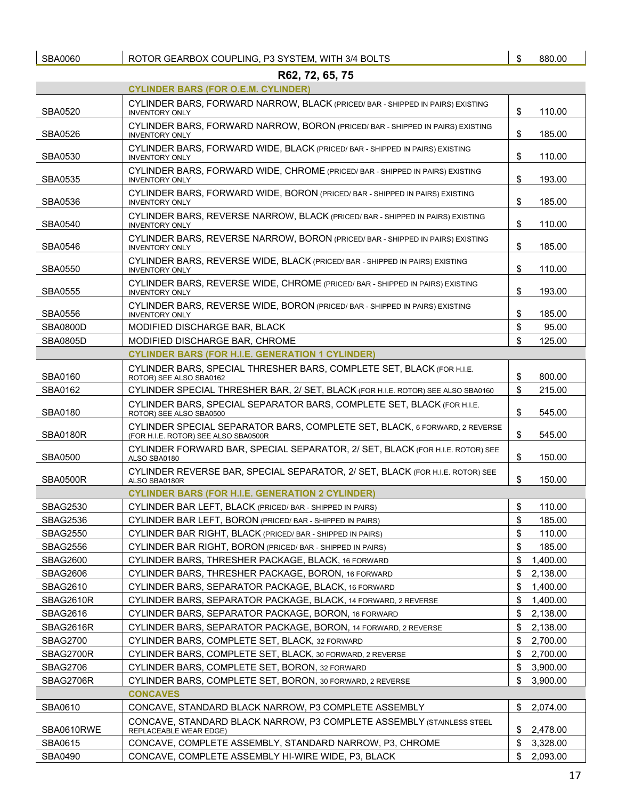#### **R62, 72, 65, 75 CYLINDER BARS (FOR O.E.M. CYLINDER)**  SBA0520 CYLINDER BARS, FORWARD NARROW, BLACK (PRICED/ BAR - SHIPPED IN PAIRS) EXISTING INVENTORY ONLY  $\begin{array}{|c|c|c|c|c|c|}\hline \text{ $>$\quad $110.00$\,} \hline \end{array}$ SBA0526 CYLINDER BARS, FORWARD NARROW, BORON (PRICED/ BAR - SHIPPED IN PAIRS) EXISTING INVENTORY ONLY \$ 185.00 SBA0530 CYLINDER BARS, FORWARD WIDE, BLACK (PRICED/ BAR - SHIPPED IN PAIRS) EXISTING INVENTORY ONLY 110.00 SBA0535 CYLINDER BARS, FORWARD WIDE, CHROME (PRICED/ BAR - SHIPPED IN PAIRS) EXISTING INVENTORY ONLY 193.00 SBA0536 CYLINDER BARS, FORWARD WIDE, BORON (PRICED/ BAR - SHIPPED IN PAIRS) EXISTING INVENTORY ONLY  $\begin{bmatrix} 18 & 185.00 \\ 0 & 185.00 \end{bmatrix}$ SBA0540 CYLINDER BARS, REVERSE NARROW, BLACK (PRICED/ BAR - SHIPPED IN PAIRS) EXISTING INVENTORY ONLY \$ 110.00 SBA0546 CYLINDER BARS, REVERSE NARROW, BORON (PRICED/ BAR - SHIPPED IN PAIRS) EXISTING INVENTORY ONLY  $\begin{array}{|c|c|c|c|c|c|}\hline \text{ $>$\quad $185.00$\end{array}}$ SBA0550 CYLINDER BARS, REVERSE WIDE, BLACK (PRICED/ BAR - SHIPPED IN PAIRS) EXISTING INVENTORY ONLY  $\begin{array}{|c|c|c|c|c|c|}\hline \text{ $>$\quad $110.00$\,} \hline \end{array}$ SBA0555 CYLINDER BARS, REVERSE WIDE, CHROME (PRICED/ BAR - SHIPPED IN PAIRS) EXISTING INVENTORY ONLY  $\begin{array}{ccc} 1 & 0 & 0 \\ 0 & 1 & 0 \\ 0 & 0 & 1 \end{array}$  193.00 SBA0556 CYLINDER BARS, REVERSE WIDE, BORON (PRICED/ BAR - SHIPPED IN PAIRS) EXISTING INVENTORY ONLY  $\begin{array}{|c|c|c|c|c|c|}\hline \text{S} & \text{185.00} \end{array}$ SBA0800D MODIFIED DISCHARGE BAR, BLACK \$ 95.00 SBA0805D MODIFIED DISCHARGE BAR, CHROME \$ 125.00 **CYLINDER BARS (FOR H.I.E. GENERATION 1 CYLINDER)**  SBA0160 CYLINDER BARS, SPECIAL THRESHER BARS, COMPLETE SET, BLACK (FOR H.I.E. ROTOR) SEE ALSO SBA0162 **\$100.00 \$200.00 \$200.00 \$300.00** SBA0162 | CYLINDER SPECIAL THRESHER BAR, 2/ SET, BLACK (FOR H.I.E. ROTOR) SEE ALSO SBA0160 | \$ 215.00 SBA0180 CYLINDER BARS, SPECIAL SEPARATOR BARS, COMPLETE SET, BLACK (FOR H.I.E. ROTOR) SEE ALSO SBA0500 **\$ 545.00** \$ 545.00 SBA0180R CYLINDER SPECIAL SEPARATOR BARS, COMPLETE SET, BLACK, 6 FORWARD, 2 REVERSE  $(FA H.IE. ROTOR) SEE ALSO SBA0500R$   $(FA H.IE. ROTOR) SEE ALSO SBA0500R$ SBA0500 CYLINDER FORWARD BAR, SPECIAL SEPARATOR, 2/ SET, BLACK (FOR H.I.E. ROTOR) SEE ALSO SBA0180 \$ 150.00 SBA0500R CYLINDER REVERSE BAR, SPECIAL SEPARATOR, 2/ SET, BLACK (FOR H.I.E. ROTOR) SEE ALSO SBA0180R ALSO SBA0180R  $\begin{array}{|c|c|c|c|c|}\hline \text{S}}& 150.00 & \text{S} & 150.00 & \text{S} & \text{S} & \text{S} & \text{S} & \text{S} & \text{S} & \text{S} & \text{S} & \text{S} & \text{S} & \text{S} & \text{S} & \text{S} & \text{S} & \text{S} & \text{S} & \text{S} & \text{S} & \text{S} & \text{S} & \text{S} & \text{S} & \text{S} & \text{S} & \text{S} & \text{S} & \text{$  **CYLINDER BARS (FOR H.I.E. GENERATION 2 CYLINDER)**  SBAG2530 CYLINDER BAR LEFT, BLACK (PRICED/ BAR - SHIPPED IN PAIRS) \$ 110.00 SBAG2536 CYLINDER BAR LEFT, BORON (PRICED/ BAR - SHIPPED IN PAIRS) SAGAG2536 (\$649.00) SBAG2550 CYLINDER BAR RIGHT, BLACK (PRICED/ BAR - SHIPPED IN PAIRS)  $\begin{array}{|l} \hline \text{S} & 110.00 \\ \text{S} & 110.00 \end{array}$ SBAG2556 CYLINDER BAR RIGHT, BORON (PRICED/ BAR - SHIPPED IN PAIRS) \$ 185.00 SBAG2600 CYLINDER BARS, THRESHER PACKAGE, BLACK, 16 FORWARD **\$ 1,400.00** \$ 1,400.00 SBAG2606 CYLINDER BARS, THRESHER PACKAGE, BORON, 16 FORWARD **\$ 2,138.00** \$ 2,138.00 SBAG2610 | CYLINDER BARS, SEPARATOR PACKAGE, BLACK, 16 FORWARD | \$ 1,400.00 SBAG2610R CYLINDER BARS, SEPARATOR PACKAGE, BLACK, 14 FORWARD, 2 REVERSE **\$ 1,400.00** SBAG2616 CYLINDER BARS, SEPARATOR PACKAGE, BORON, 16 FORWARD **\$ 2,138.00** \$ 2,138.00 SBAG2616R | CYLINDER BARS, SEPARATOR PACKAGE, BORON, 14 FORWARD, 2 REVERSE | \$ 2,138.00 SBAG2700 CYLINDER BARS, COMPLETE SET, BLACK, 32 FORWARD  $\parallel$  \$ 2,700.00 SBAG2700R | CYLINDER BARS, COMPLETE SET, BLACK, 30 FORWARD, 2 REVERSE | \$ 2,700.00 SBAG2706 | CYLINDER BARS, COMPLETE SET, BORON, 32 FORWARD | \$ 3,900.00 SBAG2706R | CYLINDER BARS, COMPLETE SET, BORON, 30 FORWARD, 2 REVERSE | \$ 3,900.00 **CONCAVES**  SBA0610 CONCAVE, STANDARD BLACK NARROW, P3 COMPLETE ASSEMBLY  $\vert$  \$ 2,074.00 SBA0610RWE CONCAVE, STANDARD BLACK NARROW, P3 COMPLETE ASSEMBLY (STAINLESS STEEL REPLACEABLE WEAR EDGE) \$2,478.00 SBA0615 CONCAVE, COMPLETE ASSEMBLY, STANDARD NARROW, P3, CHROME  $\vert$  \$ 3,328.00 SBA0490 CONCAVE, COMPLETE ASSEMBLY HI-WIRE WIDE, P3, BLACK  $\parallel$  \$ 2,093.00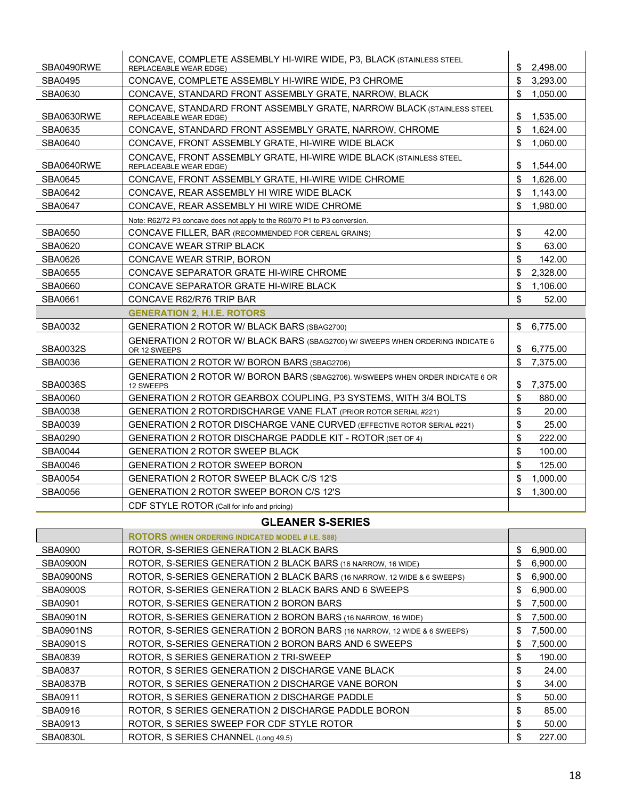|                 | CONCAVE, COMPLETE ASSEMBLY HI-WIRE WIDE, P3, BLACK (STAINLESS STEEL                                    |                |
|-----------------|--------------------------------------------------------------------------------------------------------|----------------|
| SBA0490RWE      | REPLACEABLE WEAR EDGE)                                                                                 | \$<br>2,498.00 |
| SBA0495         | CONCAVE, COMPLETE ASSEMBLY HI-WIRE WIDE, P3 CHROME                                                     | \$<br>3,293.00 |
| SBA0630         | CONCAVE, STANDARD FRONT ASSEMBLY GRATE, NARROW, BLACK                                                  | \$<br>1,050.00 |
| SBA0630RWE      | CONCAVE, STANDARD FRONT ASSEMBLY GRATE, NARROW BLACK (STAINLESS STEEL<br><b>REPLACEABLE WEAR EDGE)</b> | 1,535.00<br>S  |
| SBA0635         | CONCAVE, STANDARD FRONT ASSEMBLY GRATE, NARROW, CHROME                                                 | \$<br>1,624.00 |
| SBA0640         | CONCAVE, FRONT ASSEMBLY GRATE, HI-WIRE WIDE BLACK                                                      | \$<br>1,060.00 |
| SBA0640RWE      | CONCAVE, FRONT ASSEMBLY GRATE, HI-WIRE WIDE BLACK (STAINLESS STEEL<br>REPLACEABLE WEAR EDGE)           | 1,544.00<br>S  |
| SBA0645         | CONCAVE, FRONT ASSEMBLY GRATE, HI-WIRE WIDE CHROME                                                     | 1,626.00<br>\$ |
| SBA0642         | CONCAVE, REAR ASSEMBLY HI WIRE WIDE BLACK                                                              | 1,143.00<br>\$ |
| SBA0647         | CONCAVE, REAR ASSEMBLY HI WIRE WIDE CHROME                                                             | \$<br>1,980.00 |
|                 | Note: R62/72 P3 concave does not apply to the R60/70 P1 to P3 conversion.                              |                |
| SBA0650         | CONCAVE FILLER, BAR (RECOMMENDED FOR CEREAL GRAINS)                                                    | \$<br>42.00    |
| SBA0620         | CONCAVE WEAR STRIP BLACK                                                                               | \$<br>63.00    |
| SBA0626         | CONCAVE WEAR STRIP, BORON                                                                              | \$<br>142.00   |
| <b>SBA0655</b>  | CONCAVE SEPARATOR GRATE HI-WIRE CHROME                                                                 | \$<br>2,328.00 |
| <b>SBA0660</b>  | CONCAVE SEPARATOR GRATE HI-WIRE BLACK                                                                  | \$<br>1,106.00 |
| SBA0661         | CONCAVE R62/R76 TRIP BAR                                                                               | \$<br>52.00    |
|                 | <b>GENERATION 2, H.I.E. ROTORS</b>                                                                     |                |
| SBA0032         | GENERATION 2 ROTOR W/ BLACK BARS (SBAG2700)                                                            | \$<br>6,775.00 |
| <b>SBA0032S</b> | GENERATION 2 ROTOR W/ BLACK BARS (SBAG2700) W/ SWEEPS WHEN ORDERING INDICATE 6<br>OR 12 SWEEPS         | \$<br>6,775.00 |
| SBA0036         | <b>GENERATION 2 ROTOR W/ BORON BARS (SBAG2706)</b>                                                     | \$<br>7,375.00 |
| <b>SBA0036S</b> | GENERATION 2 ROTOR W/ BORON BARS (SBAG2706). W/SWEEPS WHEN ORDER INDICATE 6 OR<br>12 SWEEPS            | \$<br>7,375.00 |
| <b>SBA0060</b>  | GENERATION 2 ROTOR GEARBOX COUPLING, P3 SYSTEMS, WITH 3/4 BOLTS                                        | \$<br>880.00   |
| <b>SBA0038</b>  | <b>GENERATION 2 ROTORDISCHARGE VANE FLAT (PRIOR ROTOR SERIAL #221)</b>                                 | \$<br>20.00    |
| <b>SBA0039</b>  | <b>GENERATION 2 ROTOR DISCHARGE VANE CURVED (EFFECTIVE ROTOR SERIAL #221)</b>                          | \$<br>25.00    |
| SBA0290         | <b>GENERATION 2 ROTOR DISCHARGE PADDLE KIT - ROTOR (SET OF 4)</b>                                      | \$<br>222.00   |
| <b>SBA0044</b>  | <b>GENERATION 2 ROTOR SWEEP BLACK</b>                                                                  | \$<br>100.00   |
| SBA0046         | <b>GENERATION 2 ROTOR SWEEP BORON</b>                                                                  | \$<br>125.00   |
| <b>SBA0054</b>  | <b>GENERATION 2 ROTOR SWEEP BLACK C/S 12'S</b>                                                         | \$<br>1,000.00 |
| SBA0056         | <b>GENERATION 2 ROTOR SWEEP BORON C/S 12'S</b>                                                         | \$<br>1,300.00 |
|                 | CDF STYLE ROTOR (Call for info and pricing)                                                            |                |
|                 | <b>GLEANER S-SERIES</b>                                                                                |                |
|                 | <b>ROTORS (WHEN ORDERING INDICATED MODEL # I.E. S88)</b>                                               |                |
| <b>SBA0900</b>  | ROTOR, S-SERIES GENERATION 2 BLACK BARS                                                                | \$<br>6,900.00 |
| <b>SBA0900N</b> | ROTOR, S-SERIES GENERATION 2 BLACK BARS (16 NARROW, 16 WIDE)                                           | \$<br>6,900.00 |
| SBA0900NS       | ROTOR, S-SERIES GENERATION 2 BLACK BARS (16 NARROW, 12 WIDE & 6 SWEEPS)                                | \$<br>6,900.00 |
| <b>SBA0900S</b> | ROTOR. S-SERIES GENERATION 2 BLACK BARS AND 6 SWEEPS                                                   | \$<br>6,900.00 |
|                 |                                                                                                        |                |

| טעטע ושט        | <u>TO TOIN, O-OLINED OLINERVITION E DEMON DANNO (TUTANNOW, IZ WIDE &amp; U OWEET OF</u> |     | 0,000.00 |
|-----------------|-----------------------------------------------------------------------------------------|-----|----------|
| <b>SBA0900S</b> | ROTOR, S-SERIES GENERATION 2 BLACK BARS AND 6 SWEEPS                                    | S   | 6,900.00 |
| SBA0901         | ROTOR, S-SERIES GENERATION 2 BORON BARS                                                 | \$. | 7.500.00 |
| SBA0901N        | ROTOR, S-SERIES GENERATION 2 BORON BARS (16 NARROW, 16 WIDE)                            | S   | 7.500.00 |
| SBA0901NS       | ROTOR, S-SERIES GENERATION 2 BORON BARS (16 NARROW, 12 WIDE & 6 SWEEPS)                 | æ.  | 7,500.00 |
| <b>SBA0901S</b> | ROTOR, S-SERIES GENERATION 2 BORON BARS AND 6 SWEEPS                                    | S   | 7.500.00 |
| SBA0839         | ROTOR, S SERIES GENERATION 2 TRI-SWEEP                                                  | S   | 190.00   |
| SBA0837         | ROTOR. S SERIES GENERATION 2 DISCHARGE VANE BLACK                                       | S   | 24.00    |
| <b>SBA0837B</b> | ROTOR, S SERIES GENERATION 2 DISCHARGE VANE BORON                                       | S   | 34.00    |
| SBA0911         | ROTOR. S SERIES GENERATION 2 DISCHARGE PADDLE                                           | \$  | 50.00    |
| SBA0916         | ROTOR, S SERIES GENERATION 2 DISCHARGE PADDLE BORON                                     | S   | 85.00    |
| SBA0913         | ROTOR, S SERIES SWEEP FOR CDF STYLE ROTOR                                               | S   | 50.00    |
| SBA0830L        | ROTOR, S SERIES CHANNEL (Long 49.5)                                                     |     | 227.00   |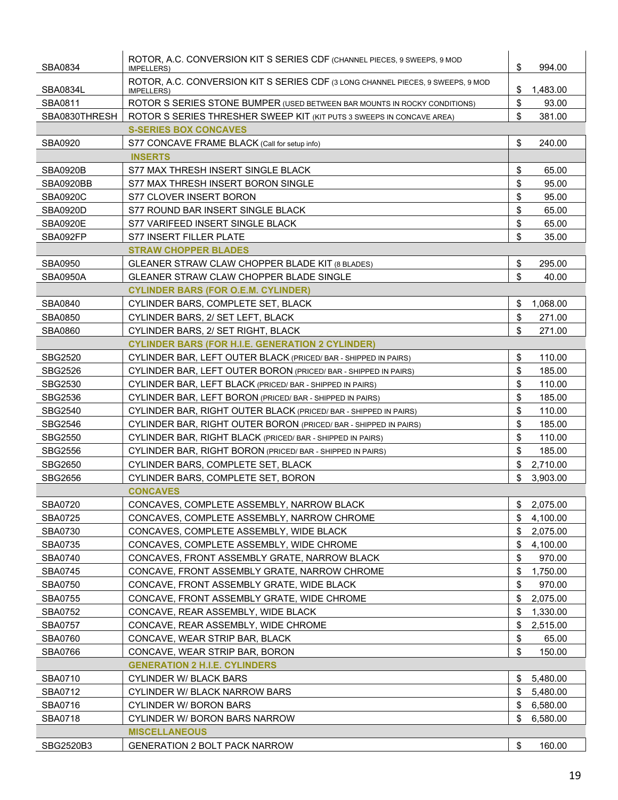| <b>SBA0834</b>  | ROTOR, A.C. CONVERSION KIT S SERIES CDF (CHANNEL PIECES, 9 SWEEPS, 9 MOD<br>IMPELLERS)                | \$ | 994.00     |
|-----------------|-------------------------------------------------------------------------------------------------------|----|------------|
| SBA0834L        | ROTOR, A.C. CONVERSION KIT S SERIES CDF (3 LONG CHANNEL PIECES, 9 SWEEPS, 9 MOD<br><b>IMPELLERS</b> ) | \$ | 1,483.00   |
| SBA0811         | ROTOR S SERIES STONE BUMPER (USED BETWEEN BAR MOUNTS IN ROCKY CONDITIONS)                             | \$ | 93.00      |
| SBA0830THRESH   | ROTOR S SERIES THRESHER SWEEP KIT (KIT PUTS 3 SWEEPS IN CONCAVE AREA)                                 | \$ | 381.00     |
|                 | <b>S-SERIES BOX CONCAVES</b>                                                                          |    |            |
| <b>SBA0920</b>  | S77 CONCAVE FRAME BLACK (Call for setup info)                                                         | \$ | 240.00     |
|                 | <b>INSERTS</b>                                                                                        |    |            |
| <b>SBA0920B</b> | S77 MAX THRESH INSERT SINGLE BLACK                                                                    | \$ | 65.00      |
| SBA0920BB       | S77 MAX THRESH INSERT BORON SINGLE                                                                    | \$ | 95.00      |
| <b>SBA0920C</b> | S77 CLOVER INSERT BORON                                                                               | \$ | 95.00      |
| <b>SBA0920D</b> | S77 ROUND BAR INSERT SINGLE BLACK                                                                     | \$ | 65.00      |
| <b>SBA0920E</b> | S77 VARIFEED INSERT SINGLE BLACK                                                                      | \$ | 65.00      |
| SBA092FP        | S77 INSERT FILLER PLATE                                                                               | \$ | 35.00      |
|                 | <b>STRAW CHOPPER BLADES</b>                                                                           |    |            |
| <b>SBA0950</b>  | GLEANER STRAW CLAW CHOPPER BLADE KIT (8 BLADES)                                                       | \$ | 295.00     |
| SBA0950A        | GLEANER STRAW CLAW CHOPPER BLADE SINGLE                                                               | \$ | 40.00      |
|                 | <b>CYLINDER BARS (FOR O.E.M. CYLINDER)</b>                                                            |    |            |
| SBA0840         | CYLINDER BARS, COMPLETE SET, BLACK                                                                    | \$ | 1,068.00   |
| <b>SBA0850</b>  | CYLINDER BARS, 2/ SET LEFT, BLACK                                                                     | \$ | 271.00     |
| <b>SBA0860</b>  | CYLINDER BARS, 2/ SET RIGHT, BLACK                                                                    | \$ | 271.00     |
|                 | <b>CYLINDER BARS (FOR H.I.E. GENERATION 2 CYLINDER)</b>                                               |    |            |
| SBG2520         | CYLINDER BAR, LEFT OUTER BLACK (PRICED/ BAR - SHIPPED IN PAIRS)                                       | \$ | 110.00     |
| SBG2526         | CYLINDER BAR, LEFT OUTER BORON (PRICED/ BAR - SHIPPED IN PAIRS)                                       | \$ | 185.00     |
| SBG2530         | CYLINDER BAR, LEFT BLACK (PRICED/ BAR - SHIPPED IN PAIRS)                                             | \$ | 110.00     |
| SBG2536         | CYLINDER BAR, LEFT BORON (PRICED/ BAR - SHIPPED IN PAIRS)                                             | \$ | 185.00     |
| SBG2540         | CYLINDER BAR, RIGHT OUTER BLACK (PRICED/ BAR - SHIPPED IN PAIRS)                                      | \$ | 110.00     |
| SBG2546         | CYLINDER BAR, RIGHT OUTER BORON (PRICED/ BAR - SHIPPED IN PAIRS)                                      | \$ | 185.00     |
| <b>SBG2550</b>  | CYLINDER BAR, RIGHT BLACK (PRICED/ BAR - SHIPPED IN PAIRS)                                            | \$ | 110.00     |
| <b>SBG2556</b>  | CYLINDER BAR, RIGHT BORON (PRICED/ BAR - SHIPPED IN PAIRS)                                            | \$ | 185.00     |
| <b>SBG2650</b>  | CYLINDER BARS, COMPLETE SET, BLACK                                                                    | \$ | 2.710.00   |
| SBG2656         | CYLINDER BARS, COMPLETE SET, BORON                                                                    | \$ | 3,903.00   |
|                 | <b>CONCAVES</b>                                                                                       |    |            |
| SBA0720         | CONCAVES, COMPLETE ASSEMBLY, NARROW BLACK                                                             |    | \$2,075.00 |
| SBA0725         | CONCAVES, COMPLETE ASSEMBLY, NARROW CHROME                                                            | \$ | 4,100.00   |
| <b>SBA0730</b>  | CONCAVES, COMPLETE ASSEMBLY, WIDE BLACK                                                               | \$ | 2,075.00   |
| SBA0735         | CONCAVES, COMPLETE ASSEMBLY, WIDE CHROME                                                              | S  | 4,100.00   |
| <b>SBA0740</b>  | CONCAVES, FRONT ASSEMBLY GRATE, NARROW BLACK                                                          | \$ | 970.00     |
| <b>SBA0745</b>  | CONCAVE, FRONT ASSEMBLY GRATE, NARROW CHROME                                                          | \$ | 1,750.00   |
| <b>SBA0750</b>  | CONCAVE, FRONT ASSEMBLY GRATE, WIDE BLACK                                                             | \$ | 970.00     |
| SBA0755         | CONCAVE, FRONT ASSEMBLY GRATE, WIDE CHROME                                                            | \$ | 2,075.00   |
| <b>SBA0752</b>  | CONCAVE, REAR ASSEMBLY, WIDE BLACK                                                                    | \$ | 1,330.00   |
| <b>SBA0757</b>  | CONCAVE, REAR ASSEMBLY, WIDE CHROME                                                                   | S  | 2,515.00   |
| <b>SBA0760</b>  | CONCAVE, WEAR STRIP BAR, BLACK                                                                        | \$ | 65.00      |
| <b>SBA0766</b>  | CONCAVE, WEAR STRIP BAR, BORON                                                                        | \$ | 150.00     |
|                 | <b>GENERATION 2 H.I.E. CYLINDERS</b>                                                                  |    |            |
| SBA0710         | <b>CYLINDER W/ BLACK BARS</b>                                                                         | S  | 5,480.00   |
| SBA0712         | CYLINDER W/ BLACK NARROW BARS                                                                         | \$ | 5,480.00   |
| SBA0716         | CYLINDER W/ BORON BARS                                                                                | S  | 6,580.00   |
| SBA0718         | CYLINDER W/ BORON BARS NARROW                                                                         | S  | 6,580.00   |
|                 | <b>MISCELLANEOUS</b>                                                                                  |    |            |
| SBG2520B3       | <b>GENERATION 2 BOLT PACK NARROW</b>                                                                  | \$ | 160.00     |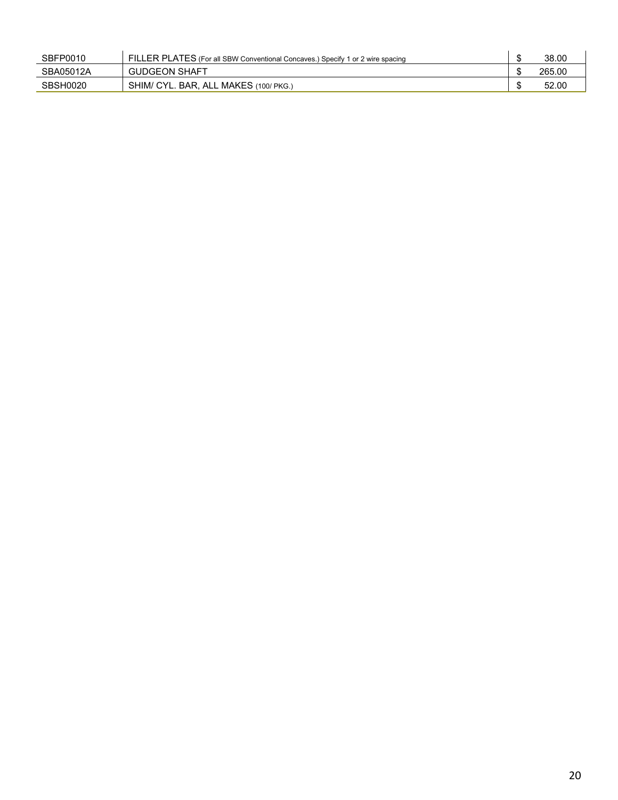| SBFP0010        | FILLER PLATES (For all SBW Conventional Concaves.) Specify 1 or 2 wire spacing | 38.00  |
|-----------------|--------------------------------------------------------------------------------|--------|
| SBA05012A       | <b>GUDGEON SHAFT</b>                                                           | 265.00 |
| <b>SBSH0020</b> | SHIM/ CYL. BAR. ALL MAKES (100/ PKG.)                                          | 52.00  |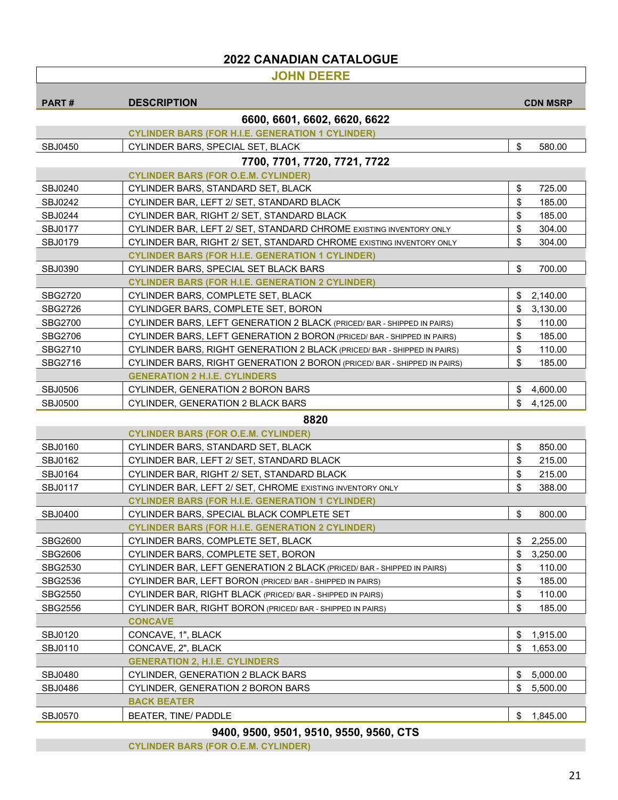#### **JOHN DEERE**

| <b>PART#</b>   | <b>DESCRIPTION</b>                                                       |                | <b>CDN MSRP</b> |
|----------------|--------------------------------------------------------------------------|----------------|-----------------|
|                | 6600, 6601, 6602, 6620, 6622                                             |                |                 |
|                | <b>CYLINDER BARS (FOR H.I.E. GENERATION 1 CYLINDER)</b>                  |                |                 |
| <b>SBJ0450</b> | CYLINDER BARS, SPECIAL SET, BLACK                                        | \$             | 580.00          |
|                | 7700, 7701, 7720, 7721, 7722                                             |                |                 |
|                | <b>CYLINDER BARS (FOR O.E.M. CYLINDER)</b>                               |                |                 |
| SBJ0240        | CYLINDER BARS, STANDARD SET, BLACK                                       | \$             | 725.00          |
| <b>SBJ0242</b> | CYLINDER BAR, LEFT 2/ SET, STANDARD BLACK                                | \$             | 185.00          |
| SBJ0244        | CYLINDER BAR, RIGHT 2/ SET, STANDARD BLACK                               | \$             | 185.00          |
| <b>SBJ0177</b> | CYLINDER BAR, LEFT 2/ SET, STANDARD CHROME EXISTING INVENTORY ONLY       | \$             | 304.00          |
| <b>SBJ0179</b> | CYLINDER BAR, RIGHT 2/ SET, STANDARD CHROME EXISTING INVENTORY ONLY      | \$             | 304.00          |
|                | <b>CYLINDER BARS (FOR H.I.E. GENERATION 1 CYLINDER)</b>                  |                |                 |
| <b>SBJ0390</b> | CYLINDER BARS, SPECIAL SET BLACK BARS                                    | \$             | 700.00          |
|                | <b>CYLINDER BARS (FOR H.I.E. GENERATION 2 CYLINDER)</b>                  |                |                 |
| SBG2720        | CYLINDER BARS, COMPLETE SET, BLACK                                       | \$             | 2,140.00        |
| SBG2726        | CYLINDGER BARS, COMPLETE SET, BORON                                      | \$             | 3,130.00        |
| SBG2700        | CYLINDER BARS, LEFT GENERATION 2 BLACK (PRICED/ BAR - SHIPPED IN PAIRS)  | \$             | 110.00          |
| <b>SBG2706</b> | CYLINDER BARS, LEFT GENERATION 2 BORON (PRICED/ BAR - SHIPPED IN PAIRS)  | \$             | 185.00          |
| SBG2710        | CYLINDER BARS, RIGHT GENERATION 2 BLACK (PRICED/ BAR - SHIPPED IN PAIRS) | \$             | 110.00          |
| SBG2716        | CYLINDER BARS, RIGHT GENERATION 2 BORON (PRICED/ BAR - SHIPPED IN PAIRS) | \$             | 185.00          |
|                | <b>GENERATION 2 H.I.E. CYLINDERS</b>                                     |                |                 |
| SBJ0506        | <b>CYLINDER, GENERATION 2 BORON BARS</b>                                 | \$             | 4,600.00        |
| <b>SBJ0500</b> | <b>CYLINDER, GENERATION 2 BLACK BARS</b>                                 | \$             | 4,125.00        |
|                | 8820                                                                     |                |                 |
|                | <b>CYLINDER BARS (FOR O.E.M. CYLINDER)</b>                               |                |                 |
| SBJ0160        | CYLINDER BARS, STANDARD SET, BLACK                                       | \$             | 850.00          |
| SBJ0162        | CYLINDER BAR, LEFT 2/ SET, STANDARD BLACK                                | \$             | 215.00          |
| SBJ0164        | CYLINDER BAR, RIGHT 2/ SET, STANDARD BLACK                               | \$             | 215.00          |
| <b>SBJ0117</b> | CYLINDER BAR, LEFT 2/ SET, CHROME EXISTING INVENTORY ONLY                | \$             | 388.00          |
|                | <b>CYLINDER BARS (FOR H.I.E. GENERATION 1 CYLINDER)</b>                  |                |                 |
| <b>SBJ0400</b> | CYLINDER BARS, SPECIAL BLACK COMPLETE SET                                | \$             | 800.00          |
|                | <b>CYLINDER BARS (FOR H.I.E. GENERATION 2 CYLINDER)</b>                  |                |                 |
| SBG2600        | CYLINDER BARS, COMPLETE SET, BLACK                                       | $$\mathbb{S}$$ | 2,255.00        |
| SBG2606        | CYLINDER BARS, COMPLETE SET, BORON                                       | \$             | 3,250.00        |
| SBG2530        | CYLINDER BAR, LEFT GENERATION 2 BLACK (PRICED/ BAR - SHIPPED IN PAIRS)   | \$             | 110.00          |
| SBG2536        | CYLINDER BAR, LEFT BORON (PRICED/ BAR - SHIPPED IN PAIRS)                | \$             | 185.00          |
| <b>SBG2550</b> | CYLINDER BAR, RIGHT BLACK (PRICED/BAR - SHIPPED IN PAIRS)                | \$             | 110.00          |
| <b>SBG2556</b> | CYLINDER BAR, RIGHT BORON (PRICED/ BAR - SHIPPED IN PAIRS)               | \$             | 185.00          |
|                | <b>CONCAVE</b>                                                           |                |                 |
| <b>SBJ0120</b> | CONCAVE, 1", BLACK                                                       | \$             | 1,915.00        |
| SBJ0110        | CONCAVE, 2", BLACK                                                       | \$             | 1,653.00        |
|                | <b>GENERATION 2, H.I.E. CYLINDERS</b>                                    |                |                 |
| <b>SBJ0480</b> | CYLINDER, GENERATION 2 BLACK BARS                                        | S              | 5,000.00        |
| <b>SBJ0486</b> | CYLINDER, GENERATION 2 BORON BARS                                        | \$             | 5,500.00        |
|                | <b>BACK BEATER</b>                                                       |                |                 |
| <b>SBJ0570</b> | BEATER, TINE/ PADDLE                                                     | \$             | 1,845.00        |
|                |                                                                          |                |                 |

**9400, 9500, 9501, 9510, 9550, 9560, CTS CYLINDER BARS (FOR O.E.M. CYLINDER)**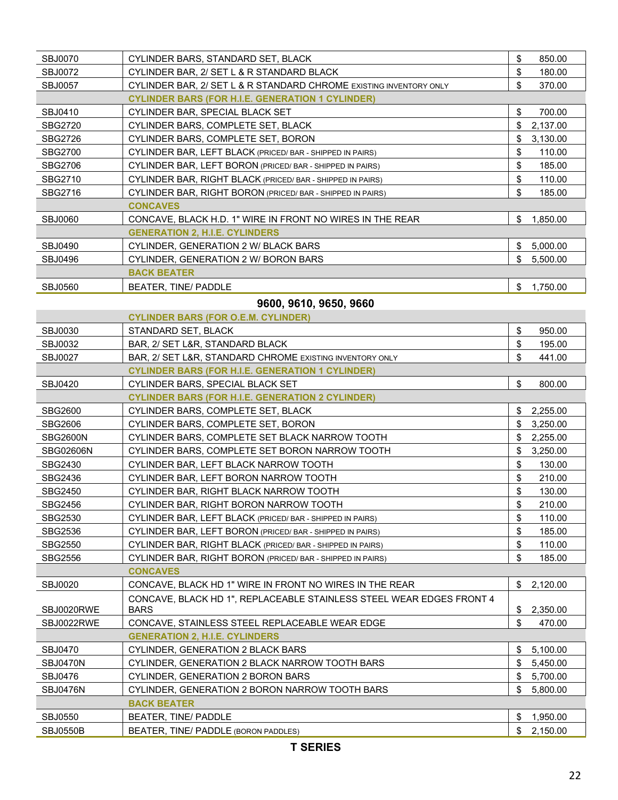| <b>SBJ0070</b>  | CYLINDER BARS, STANDARD SET, BLACK                                                  | \$       | 850.00   |
|-----------------|-------------------------------------------------------------------------------------|----------|----------|
| <b>SBJ0072</b>  | CYLINDER BAR, 2/ SET L & R STANDARD BLACK                                           | \$       | 180.00   |
| <b>SBJ0057</b>  | CYLINDER BAR, 2/ SET L & R STANDARD CHROME EXISTING INVENTORY ONLY                  | \$       | 370.00   |
|                 | <b>CYLINDER BARS (FOR H.I.E. GENERATION 1 CYLINDER)</b>                             |          |          |
| SBJ0410         | CYLINDER BAR, SPECIAL BLACK SET                                                     | \$       | 700.00   |
| SBG2720         | CYLINDER BARS, COMPLETE SET, BLACK                                                  | \$       | 2,137.00 |
| SBG2726         | CYLINDER BARS, COMPLETE SET, BORON                                                  | \$       | 3,130.00 |
| <b>SBG2700</b>  | CYLINDER BAR, LEFT BLACK (PRICED/ BAR - SHIPPED IN PAIRS)                           | \$       | 110.00   |
| <b>SBG2706</b>  | CYLINDER BAR, LEFT BORON (PRICED/ BAR - SHIPPED IN PAIRS)                           | \$       | 185.00   |
|                 |                                                                                     |          |          |
| SBG2710         | CYLINDER BAR, RIGHT BLACK (PRICED/ BAR - SHIPPED IN PAIRS)                          | \$       | 110.00   |
| SBG2716         | CYLINDER BAR, RIGHT BORON (PRICED/BAR - SHIPPED IN PAIRS)                           | \$       | 185.00   |
|                 | <b>CONCAVES</b>                                                                     |          |          |
| <b>SBJ0060</b>  | CONCAVE, BLACK H.D. 1" WIRE IN FRONT NO WIRES IN THE REAR                           | \$       | 1,850.00 |
|                 | <b>GENERATION 2, H.I.E. CYLINDERS</b>                                               |          |          |
| <b>SBJ0490</b>  | CYLINDER, GENERATION 2 W/ BLACK BARS                                                | \$       | 5,000.00 |
| <b>SBJ0496</b>  | CYLINDER, GENERATION 2 W/ BORON BARS                                                | \$       | 5,500.00 |
|                 | <b>BACK BEATER</b>                                                                  |          |          |
| <b>SBJ0560</b>  | BEATER, TINE/ PADDLE                                                                | \$       | 1,750.00 |
|                 | 9600, 9610, 9650, 9660                                                              |          |          |
|                 | <b>CYLINDER BARS (FOR O.E.M. CYLINDER)</b>                                          |          |          |
| SBJ0030         | STANDARD SET, BLACK                                                                 | \$       | 950.00   |
| <b>SBJ0032</b>  | BAR, 2/ SET L&R, STANDARD BLACK                                                     | \$       | 195.00   |
| <b>SBJ0027</b>  | BAR, 2/ SET L&R, STANDARD CHROME EXISTING INVENTORY ONLY                            | \$       | 441.00   |
|                 | <b>CYLINDER BARS (FOR H.I.E. GENERATION 1 CYLINDER)</b>                             |          |          |
| SBJ0420         | CYLINDER BARS, SPECIAL BLACK SET                                                    | \$       | 800.00   |
|                 | <b>CYLINDER BARS (FOR H.I.E. GENERATION 2 CYLINDER)</b>                             |          |          |
| <b>SBG2600</b>  | CYLINDER BARS, COMPLETE SET, BLACK                                                  | \$       | 2,255.00 |
| SBG2606         | CYLINDER BARS, COMPLETE SET, BORON                                                  | \$       | 3,250.00 |
| <b>SBG2600N</b> | CYLINDER BARS, COMPLETE SET BLACK NARROW TOOTH                                      | \$       | 2,255.00 |
| SBG02606N       | CYLINDER BARS, COMPLETE SET BORON NARROW TOOTH                                      | \$       | 3,250.00 |
| SBG2430         | CYLINDER BAR, LEFT BLACK NARROW TOOTH                                               | \$       | 130.00   |
| SBG2436         | CYLINDER BAR, LEFT BORON NARROW TOOTH                                               | \$       | 210.00   |
| <b>SBG2450</b>  | CYLINDER BAR, RIGHT BLACK NARROW TOOTH                                              | \$       | 130.00   |
| SBG2456         | CYLINDER BAR, RIGHT BORON NARROW TOOTH                                              | \$       | 210.00   |
|                 |                                                                                     | \$       |          |
| SBG2530         | CYLINDER BAR, LEFT BLACK (PRICED/ BAR - SHIPPED IN PAIRS)                           | \$       | 110.00   |
| SBG2536         | CYLINDER BAR, LEFT BORON (PRICED/ BAR - SHIPPED IN PAIRS)                           | \$       | 185.00   |
| <b>SBG2550</b>  | CYLINDER BAR, RIGHT BLACK (PRICED/BAR - SHIPPED IN PAIRS)                           |          | 110.00   |
| <b>SBG2556</b>  | CYLINDER BAR, RIGHT BORON (PRICED/ BAR - SHIPPED IN PAIRS)                          | \$       | 185.00   |
|                 | <b>CONCAVES</b>                                                                     |          |          |
| <b>SBJ0020</b>  | CONCAVE, BLACK HD 1" WIRE IN FRONT NO WIRES IN THE REAR                             | \$       | 2,120.00 |
|                 | CONCAVE. BLACK HD 1". REPLACEABLE STAINLESS STEEL WEAR EDGES FRONT 4<br><b>BARS</b> |          |          |
| SBJ0020RWE      |                                                                                     | \$<br>\$ | 2,350.00 |
| SBJ0022RWE      | CONCAVE, STAINLESS STEEL REPLACEABLE WEAR EDGE                                      |          | 470.00   |
|                 | <b>GENERATION 2, H.I.E. CYLINDERS</b>                                               |          |          |
| <b>SBJ0470</b>  | CYLINDER, GENERATION 2 BLACK BARS                                                   | \$       | 5,100.00 |
| SBJ0470N        | CYLINDER, GENERATION 2 BLACK NARROW TOOTH BARS                                      | \$       | 5,450.00 |
| <b>SBJ0476</b>  | CYLINDER, GENERATION 2 BORON BARS                                                   | \$       | 5,700.00 |
| <b>SBJ0476N</b> | CYLINDER, GENERATION 2 BORON NARROW TOOTH BARS                                      | \$       | 5,800.00 |
|                 | <b>BACK BEATER</b>                                                                  |          |          |
| <b>SBJ0550</b>  | BEATER, TINE/ PADDLE                                                                | \$       | 1,950.00 |
| <b>SBJ0550B</b> | BEATER, TINE/ PADDLE (BORON PADDLES)                                                | \$       | 2,150.00 |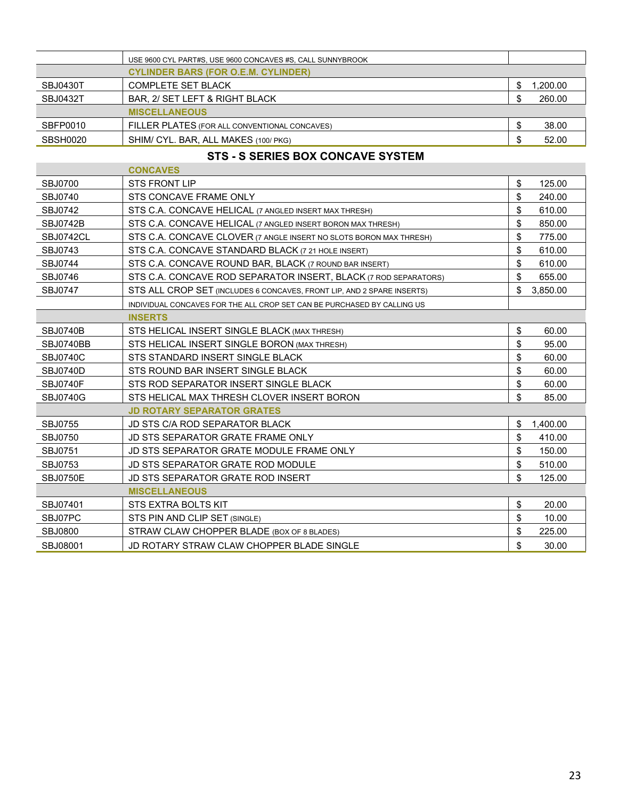|                 | USE 9600 CYL PART#S, USE 9600 CONCAVES #S, CALL SUNNYBROOK |          |
|-----------------|------------------------------------------------------------|----------|
|                 | <b>CYLINDER BARS (FOR O.E.M. CYLINDER)</b>                 |          |
| <b>SBJ0430T</b> | <b>COMPLETE SET BLACK</b>                                  | 1,200.00 |
| <b>SBJ0432T</b> | BAR, 2/ SET LEFT & RIGHT BLACK                             | 260.00   |
|                 | <b>MISCELLANEOUS</b>                                       |          |
| SBFP0010        | FILLER PLATES (FOR ALL CONVENTIONAL CONCAVES)              | 38.00    |
| SBSH0020        | SHIM/ CYL. BAR, ALL MAKES (100/ PKG)                       | 52.00    |

#### **STS - S SERIES BOX CONCAVE SYSTEM**

|                 | <b>CONCAVES</b>                                                         |                |
|-----------------|-------------------------------------------------------------------------|----------------|
| <b>SBJ0700</b>  | <b>STS FRONT LIP</b>                                                    | \$<br>125.00   |
| SBJ0740         | STS CONCAVE FRAME ONLY                                                  | \$<br>240.00   |
| SBJ0742         | STS C.A. CONCAVE HELICAL (7 ANGLED INSERT MAX THRESH)                   | \$<br>610.00   |
| <b>SBJ0742B</b> | STS C.A. CONCAVE HELICAL (7 ANGLED INSERT BORON MAX THRESH)             | \$<br>850.00   |
| SBJ0742CL       | STS C.A. CONCAVE CLOVER (7 ANGLE INSERT NO SLOTS BORON MAX THRESH)      | \$<br>775.00   |
| SBJ0743         | STS C.A. CONCAVE STANDARD BLACK (7 21 HOLE INSERT)                      | \$<br>610.00   |
| <b>SBJ0744</b>  | STS C.A. CONCAVE ROUND BAR, BLACK (7 ROUND BAR INSERT)                  | \$<br>610.00   |
| SBJ0746         | STS C.A. CONCAVE ROD SEPARATOR INSERT, BLACK (7 ROD SEPARATORS)         | \$<br>655.00   |
| <b>SBJ0747</b>  | STS ALL CROP SET (INCLUDES 6 CONCAVES, FRONT LIP, AND 2 SPARE INSERTS)  | \$<br>3,850.00 |
|                 | INDIVIDUAL CONCAVES FOR THE ALL CROP SET CAN BE PURCHASED BY CALLING US |                |
|                 | <b>INSERTS</b>                                                          |                |
| <b>SBJ0740B</b> | STS HELICAL INSERT SINGLE BLACK (MAX THRESH)                            | \$<br>60.00    |
| SBJ0740BB       | STS HELICAL INSERT SINGLE BORON (MAX THRESH)                            | \$<br>95.00    |
| <b>SBJ0740C</b> | STS STANDARD INSERT SINGLE BLACK                                        | \$<br>60.00    |
| <b>SBJ0740D</b> | STS ROUND BAR INSERT SINGLE BLACK                                       | \$<br>60.00    |
| <b>SBJ0740F</b> | STS ROD SEPARATOR INSERT SINGLE BLACK                                   | \$<br>60.00    |
| <b>SBJ0740G</b> | STS HELICAL MAX THRESH CLOVER INSERT BORON                              | \$<br>85.00    |
|                 | <b>JD ROTARY SEPARATOR GRATES</b>                                       |                |
| <b>SBJ0755</b>  | JD STS C/A ROD SEPARATOR BLACK                                          | \$<br>1,400.00 |
| <b>SBJ0750</b>  | <b>JD STS SEPARATOR GRATE FRAME ONLY</b>                                | \$<br>410.00   |
| SBJ0751         | JD STS SEPARATOR GRATE MODULE FRAME ONLY                                | \$<br>150.00   |
| <b>SBJ0753</b>  | JD STS SEPARATOR GRATE ROD MODULE                                       | \$<br>510.00   |
| <b>SBJ0750E</b> | <b>JD STS SEPARATOR GRATE ROD INSERT</b>                                | \$<br>125.00   |
|                 | <b>MISCELLANEOUS</b>                                                    |                |
| SBJ07401        | STS EXTRA BOLTS KIT                                                     | \$<br>20.00    |
| SBJ07PC         | STS PIN AND CLIP SET (SINGLE)                                           | \$<br>10.00    |
| <b>SBJ0800</b>  | STRAW CLAW CHOPPER BLADE (BOX OF 8 BLADES)                              | \$<br>225.00   |
| SBJ08001        | JD ROTARY STRAW CLAW CHOPPER BLADE SINGLE                               | \$<br>30.00    |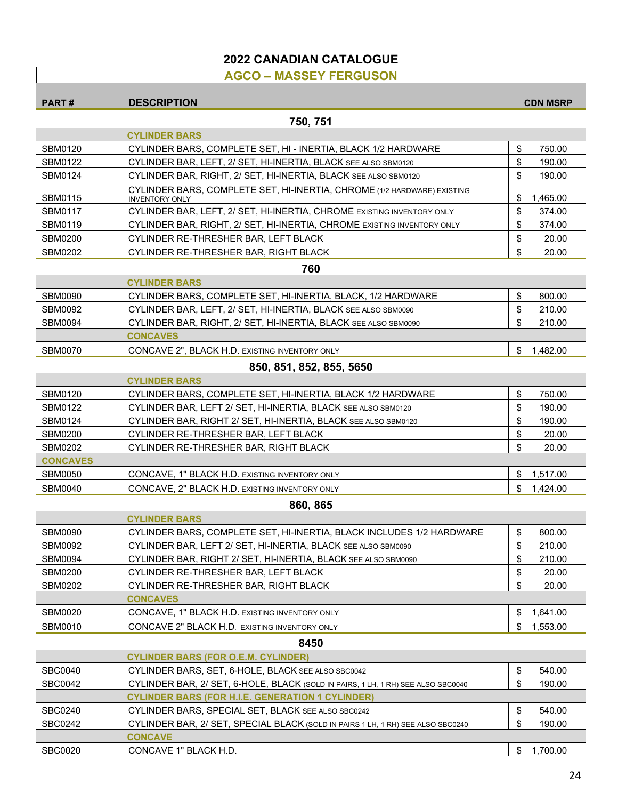$\mathsf{l}$ 

## **AGCO – MASSEY FERGUSON**

|                 | AUUU – MAUUL I I LINUUJUN                                                                        |               |                 |
|-----------------|--------------------------------------------------------------------------------------------------|---------------|-----------------|
| <b>PART#</b>    | <b>DESCRIPTION</b>                                                                               |               | <b>CDN MSRP</b> |
|                 | 750, 751                                                                                         |               |                 |
|                 | <b>CYLINDER BARS</b>                                                                             |               |                 |
| SBM0120         | CYLINDER BARS, COMPLETE SET, HI - INERTIA, BLACK 1/2 HARDWARE                                    | \$            | 750.00          |
| SBM0122         | CYLINDER BAR, LEFT, 2/ SET, HI-INERTIA, BLACK SEE ALSO SBM0120                                   | \$            | 190.00          |
| SBM0124         | CYLINDER BAR, RIGHT, 2/ SET, HI-INERTIA, BLACK SEE ALSO SBM0120                                  | \$            | 190.00          |
| SBM0115         | CYLINDER BARS, COMPLETE SET, HI-INERTIA, CHROME (1/2 HARDWARE) EXISTING<br><b>INVENTORY ONLY</b> | S             | 1,465.00        |
| <b>SBM0117</b>  | CYLINDER BAR, LEFT, 2/ SET, HI-INERTIA, CHROME EXISTING INVENTORY ONLY                           | \$            | 374.00          |
| SBM0119         | CYLINDER BAR, RIGHT, 2/ SET, HI-INERTIA, CHROME EXISTING INVENTORY ONLY                          | \$            | 374.00          |
| <b>SBM0200</b>  | CYLINDER RE-THRESHER BAR, LEFT BLACK                                                             | \$            | 20.00           |
| <b>SBM0202</b>  | CYLINDER RE-THRESHER BAR, RIGHT BLACK                                                            | \$            | 20.00           |
|                 | 760                                                                                              |               |                 |
|                 | <b>CYLINDER BARS</b>                                                                             |               |                 |
| <b>SBM0090</b>  | CYLINDER BARS, COMPLETE SET, HI-INERTIA, BLACK, 1/2 HARDWARE                                     | \$            | 800.00          |
| <b>SBM0092</b>  | CYLINDER BAR, LEFT, 2/ SET, HI-INERTIA, BLACK SEE ALSO SBM0090                                   | \$            | 210.00          |
| <b>SBM0094</b>  | CYLINDER BAR, RIGHT, 2/ SET, HI-INERTIA, BLACK SEE ALSO SBM0090                                  | \$            | 210.00          |
|                 | <b>CONCAVES</b>                                                                                  |               |                 |
| SBM0070         | CONCAVE 2", BLACK H.D. EXISTING INVENTORY ONLY                                                   | \$            | 1,482.00        |
|                 | 850, 851, 852, 855, 5650                                                                         |               |                 |
|                 | <b>CYLINDER BARS</b>                                                                             |               |                 |
| SBM0120         | CYLINDER BARS, COMPLETE SET, HI-INERTIA, BLACK 1/2 HARDWARE                                      | \$            | 750.00          |
| SBM0122         | CYLINDER BAR, LEFT 2/ SET, HI-INERTIA, BLACK SEE ALSO SBM0120                                    | \$            | 190.00          |
| SBM0124         | CYLINDER BAR, RIGHT 2/ SET, HI-INERTIA, BLACK SEE ALSO SBM0120                                   | \$            | 190.00          |
| <b>SBM0200</b>  | CYLINDER RE-THRESHER BAR, LEFT BLACK                                                             | \$            | 20.00           |
| <b>SBM0202</b>  | CYLINDER RE-THRESHER BAR, RIGHT BLACK                                                            | \$            | 20.00           |
| <b>CONCAVES</b> |                                                                                                  |               |                 |
| <b>SBM0050</b>  | CONCAVE, 1" BLACK H.D. EXISTING INVENTORY ONLY                                                   | \$            | 1.517.00        |
| <b>SBM0040</b>  | CONCAVE, 2" BLACK H.D. EXISTING INVENTORY ONLY                                                   | \$            | 1,424.00        |
|                 | 860, 865                                                                                         |               |                 |
|                 | <b>CYLINDER BARS</b>                                                                             |               |                 |
| SBM0090         | CYLINDER BARS, COMPLETE SET, HI-INERTIA, BLACK INCLUDES 1/2 HARDWARE                             | $\frac{1}{2}$ | 800.00          |
| <b>SBM0092</b>  | CYLINDER BAR, LEFT 2/ SET, HI-INERTIA, BLACK SEE ALSO SBM0090                                    | \$            | 210.00          |
| <b>SBM0094</b>  | CYLINDER BAR, RIGHT 2/ SET, HI-INERTIA, BLACK SEE ALSO SBM0090                                   | \$            | 210.00          |
| <b>SBM0200</b>  | CYLINDER RE-THRESHER BAR, LEFT BLACK                                                             | \$            | 20.00           |
| <b>SBM0202</b>  | CYLINDER RE-THRESHER BAR, RIGHT BLACK                                                            | \$            | 20.00           |
|                 | <b>CONCAVES</b>                                                                                  |               |                 |
| SBM0020         | CONCAVE, 1" BLACK H.D. EXISTING INVENTORY ONLY                                                   | \$            | 1,641.00        |
| SBM0010         | CONCAVE 2" BLACK H.D. EXISTING INVENTORY ONLY                                                    | \$            | 1,553.00        |
|                 | 8450                                                                                             |               |                 |
|                 | <b>CYLINDER BARS (FOR O.E.M. CYLINDER)</b>                                                       |               |                 |
| <b>SBC0040</b>  | CYLINDER BARS, SET, 6-HOLE, BLACK SEE ALSO SBC0042                                               | \$            | 540.00          |
| <b>SBC0042</b>  | CYLINDER BAR, 2/ SET, 6-HOLE, BLACK (SOLD IN PAIRS, 1 LH, 1 RH) SEE ALSO SBC0040                 | \$            | 190.00          |
|                 | <b>CYLINDER BARS (FOR H.I.E. GENERATION 1 CYLINDER)</b>                                          |               |                 |
| <b>SBC0240</b>  | CYLINDER BARS, SPECIAL SET, BLACK SEE ALSO SBC0242                                               | \$            | 540.00          |
| <b>SBC0242</b>  | CYLINDER BAR, 2/ SET, SPECIAL BLACK (SOLD IN PAIRS 1 LH, 1 RH) SEE ALSO SBC0240                  | \$            | 190.00          |
|                 | <b>CONCAVE</b>                                                                                   |               |                 |

SBC0020 CONCAVE 1" BLACK H.D. \$ 1,700.00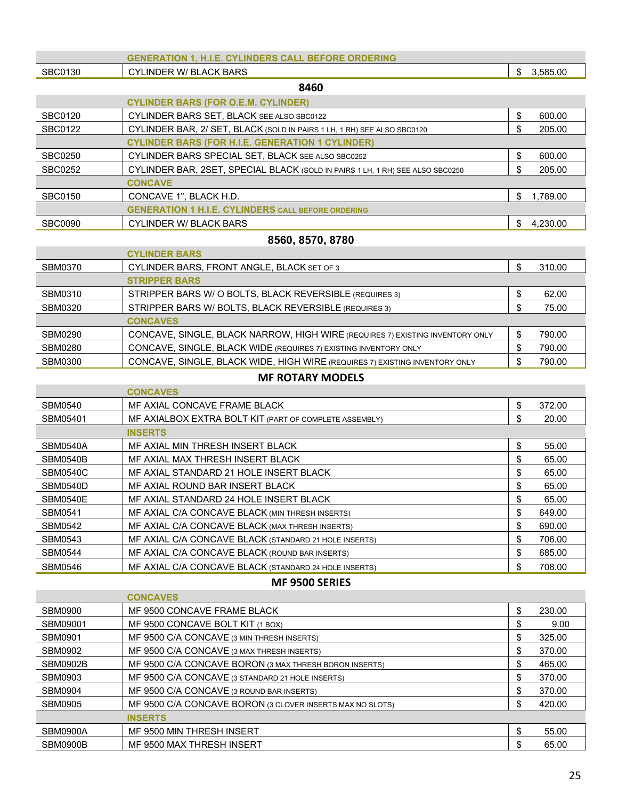|                  | <b>GENERATION 1, H.I.E. CYLINDERS CALL BEFORE ORDERING</b>                    |    |          |
|------------------|-------------------------------------------------------------------------------|----|----------|
| <b>SBC0130</b>   | <b>CYLINDER W/ BLACK BARS</b>                                                 | \$ | 3,585.00 |
|                  | 8460                                                                          |    |          |
|                  | <b>CYLINDER BARS (FOR O.E.M. CYLINDER)</b>                                    |    |          |
| SBC0120          | CYLINDER BARS SET, BLACK SEE ALSO SBC0122                                     | \$ | 600.00   |
| SBC0122          | CYLINDER BAR, 2/ SET, BLACK (SOLD IN PAIRS 1 LH, 1 RH) SEE ALSO SBC0120       | S  | 205.00   |
|                  | <b>CYLINDER BARS (FOR H.I.E. GENERATION 1 CYLINDER)</b>                       |    |          |
| SBC0250          | CYLINDER BARS SPECIAL SET, BLACK SEE ALSO SBC0252                             | \$ | 600.00   |
| <b>SBC0252</b>   | CYLINDER BAR, 2SET, SPECIAL BLACK (SOLD IN PAIRS 1 LH, 1 RH) SEE ALSO SBC0250 | \$ | 205.00   |
|                  | <b>CONCAVE</b>                                                                |    |          |
| <b>SBC0150</b>   | CONCAVE 1", BLACK H.D.                                                        | \$ | 1,789.00 |
|                  | <b>GENERATION 1 H.I.E. CYLINDERS CALL BEFORE ORDERING</b>                     |    |          |
| SBC0090          | <b>CYLINDER W/ BLACK BARS</b>                                                 | \$ | 4,230.00 |
| 8560, 8570, 8780 |                                                                               |    |          |
|                  | <b>CYLINDER BARS</b>                                                          |    |          |
| SBM0370          | CYLINDER BARS, FRONT ANGLE, BLACK SET OF 3                                    | \$ | 310.00   |
|                  |                                                                               |    |          |

| <b>UTLINDER DARS, FRONT ANGLE, DEACH SET OF 3</b>                             | <b>D</b> | <b>JU.UU</b> |
|-------------------------------------------------------------------------------|----------|--------------|
| <b>STRIPPER BARS</b>                                                          |          |              |
| STRIPPER BARS W/ O BOLTS, BLACK REVERSIBLE (REQUIRES 3)                       |          | 62.00        |
| STRIPPER BARS W/ BOLTS, BLACK REVERSIBLE (REQUIRES 3)                         |          | 75.00        |
| <b>CONCAVES</b>                                                               |          |              |
| CONCAVE, SINGLE, BLACK NARROW, HIGH WIRE (REQUIRES 7) EXISTING INVENTORY ONLY |          | 790.00       |
| CONCAVE, SINGLE, BLACK WIDE (REQUIRES 7) EXISTING INVENTORY ONLY              |          | 790.00       |
| CONCAVE, SINGLE, BLACK WIDE, HIGH WIRE (REQUIRES 7) EXISTING INVENTORY ONLY   |          | 790.00       |
|                                                                               |          |              |

#### **MF ROTARY MODELS**

|                 | <b>CONCAVES</b>                                        |              |
|-----------------|--------------------------------------------------------|--------------|
| SBM0540         | MF AXIAL CONCAVE FRAME BLACK                           | \$<br>372.00 |
| SBM05401        | MF AXIALBOX EXTRA BOLT KIT (PART OF COMPLETE ASSEMBLY) | \$<br>20.00  |
|                 | <b>INSERTS</b>                                         |              |
| <b>SBM0540A</b> | MF AXIAL MIN THRESH INSERT BLACK                       | \$<br>55.00  |
| <b>SBM0540B</b> | MF AXIAL MAX THRESH INSERT BLACK                       | \$<br>65.00  |
| <b>SBM0540C</b> | MF AXIAL STANDARD 21 HOLE INSERT BLACK                 | \$<br>65.00  |
| <b>SBM0540D</b> | MF AXIAL ROUND BAR INSERT BLACK                        | \$<br>65.00  |
| <b>SBM0540E</b> | MF AXIAL STANDARD 24 HOLE INSERT BLACK                 | \$<br>65.00  |
| SBM0541         | MF AXIAL C/A CONCAVE BLACK (MIN THRESH INSERTS)        | \$<br>649.00 |
| SBM0542         | MF AXIAL C/A CONCAVE BLACK (MAX THRESH INSERTS)        | \$<br>690.00 |
| SBM0543         | MF AXIAL C/A CONCAVE BLACK (STANDARD 21 HOLE INSERTS)  | \$<br>706.00 |
| SBM0544         | MF AXIAL C/A CONCAVE BLACK (ROUND BAR INSERTS)         | \$<br>685.00 |
| SBM0546         | MF AXIAL C/A CONCAVE BLACK (STANDARD 24 HOLE INSERTS)  | \$<br>708.00 |

#### **MF 9500 SERIES**

|                 | <b>CONCAVES</b>                                           |    |        |
|-----------------|-----------------------------------------------------------|----|--------|
| SBM0900         | MF 9500 CONCAVE FRAME BLACK                               | \$ | 230.00 |
| SBM09001        | MF 9500 CONCAVE BOLT KIT (1 BOX)                          | S  | 9.00   |
| SBM0901         | MF 9500 C/A CONCAVE (3 MIN THRESH INSERTS)                | S  | 325.00 |
| SBM0902         | MF 9500 C/A CONCAVE (3 MAX THRESH INSERTS)                | \$ | 370.00 |
| <b>SBM0902B</b> | MF 9500 C/A CONCAVE BORON (3 MAX THRESH BORON INSERTS)    | \$ | 465.00 |
| SBM0903         | MF 9500 C/A CONCAVE (3 STANDARD 21 HOLE INSERTS)          | \$ | 370.00 |
| <b>SBM0904</b>  | MF 9500 C/A CONCAVE (3 ROUND BAR INSERTS)                 | \$ | 370.00 |
| <b>SBM0905</b>  | MF 9500 C/A CONCAVE BORON (3 CLOVER INSERTS MAX NO SLOTS) | \$ | 420.00 |
|                 | <b>INSERTS</b>                                            |    |        |
| <b>SBM0900A</b> | MF 9500 MIN THRESH INSERT                                 | \$ | 55.00  |
| <b>SBM0900B</b> | MF 9500 MAX THRESH INSERT                                 | \$ | 65.00  |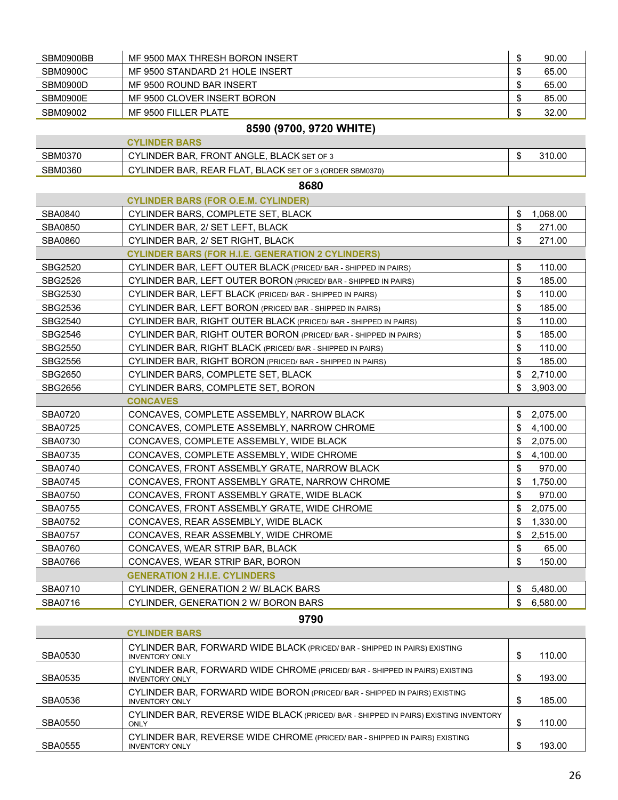| SBM0900BB       | MF 9500 MAX THRESH BORON INSERT                                  | \$<br>90.00    |
|-----------------|------------------------------------------------------------------|----------------|
| <b>SBM0900C</b> | MF 9500 STANDARD 21 HOLE INSERT                                  | \$<br>65.00    |
| <b>SBM0900D</b> | MF 9500 ROUND BAR INSERT                                         | \$<br>65.00    |
| <b>SBM0900E</b> | MF 9500 CLOVER INSERT BORON                                      | \$<br>85.00    |
| SBM09002        | MF 9500 FILLER PLATE                                             | \$<br>32.00    |
|                 | 8590 (9700, 9720 WHITE)                                          |                |
|                 | <b>CYLINDER BARS</b>                                             |                |
| <b>SBM0370</b>  | CYLINDER BAR, FRONT ANGLE, BLACK SET OF 3                        | \$<br>310.00   |
| <b>SBM0360</b>  | CYLINDER BAR, REAR FLAT, BLACK SET OF 3 (ORDER SBM0370)          |                |
|                 | 8680                                                             |                |
|                 | <b>CYLINDER BARS (FOR O.E.M. CYLINDER)</b>                       |                |
| <b>SBA0840</b>  | CYLINDER BARS, COMPLETE SET, BLACK                               | \$<br>1,068.00 |
| <b>SBA0850</b>  | CYLINDER BAR, 2/ SET LEFT, BLACK                                 | \$<br>271.00   |
| <b>SBA0860</b>  | CYLINDER BAR, 2/ SET RIGHT, BLACK                                | \$<br>271.00   |
|                 | <b>CYLINDER BARS (FOR H.I.E. GENERATION 2 CYLINDERS)</b>         |                |
| <b>SBG2520</b>  | CYLINDER BAR, LEFT OUTER BLACK (PRICED/ BAR - SHIPPED IN PAIRS)  | \$<br>110.00   |
| SBG2526         | CYLINDER BAR, LEFT OUTER BORON (PRICED/ BAR - SHIPPED IN PAIRS)  | \$<br>185.00   |
| SBG2530         | CYLINDER BAR, LEFT BLACK (PRICED/ BAR - SHIPPED IN PAIRS)        | \$<br>110.00   |
| SBG2536         | CYLINDER BAR, LEFT BORON (PRICED/ BAR - SHIPPED IN PAIRS)        | \$<br>185.00   |
| SBG2540         | CYLINDER BAR, RIGHT OUTER BLACK (PRICED/ BAR - SHIPPED IN PAIRS) | \$<br>110.00   |
| SBG2546         | CYLINDER BAR, RIGHT OUTER BORON (PRICED/BAR - SHIPPED IN PAIRS)  | \$<br>185.00   |
| SBG2550         | CYLINDER BAR, RIGHT BLACK (PRICED/ BAR - SHIPPED IN PAIRS)       | \$<br>110.00   |
| <b>SBG2556</b>  | CYLINDER BAR, RIGHT BORON (PRICED/ BAR - SHIPPED IN PAIRS)       | \$<br>185.00   |
| <b>SBG2650</b>  | CYLINDER BARS, COMPLETE SET, BLACK                               | \$<br>2,710.00 |
| SBG2656         | CYLINDER BARS, COMPLETE SET, BORON                               | \$<br>3,903.00 |
|                 | <b>CONCAVES</b>                                                  |                |
| <b>SBA0720</b>  | CONCAVES, COMPLETE ASSEMBLY, NARROW BLACK                        | \$<br>2,075.00 |
| <b>SBA0725</b>  | CONCAVES, COMPLETE ASSEMBLY, NARROW CHROME                       | \$<br>4,100.00 |
| <b>SBA0730</b>  | CONCAVES, COMPLETE ASSEMBLY, WIDE BLACK                          | \$<br>2,075.00 |
| <b>SBA0735</b>  | CONCAVES, COMPLETE ASSEMBLY, WIDE CHROME                         | \$<br>4,100.00 |
| <b>SBA0740</b>  | CONCAVES, FRONT ASSEMBLY GRATE, NARROW BLACK                     | \$<br>970.00   |
| <b>SBA0745</b>  | CONCAVES. FRONT ASSEMBLY GRATE. NARROW CHROME                    | \$<br>1,750.00 |
| SBA0750         | CONCAVES, FRONT ASSEMBLY GRATE, WIDE BLACK                       | \$<br>970.00   |
| <b>SBA0755</b>  | CONCAVES, FRONT ASSEMBLY GRATE, WIDE CHROME                      | \$<br>2,075.00 |
| <b>SBA0752</b>  | CONCAVES, REAR ASSEMBLY, WIDE BLACK                              | \$<br>1,330.00 |
| <b>SBA0757</b>  | CONCAVES, REAR ASSEMBLY, WIDE CHROME                             | \$<br>2,515.00 |
| <b>SBA0760</b>  | CONCAVES, WEAR STRIP BAR, BLACK                                  | \$<br>65.00    |
| <b>SBA0766</b>  | CONCAVES, WEAR STRIP BAR, BORON                                  | \$<br>150.00   |
|                 | <b>GENERATION 2 H.I.E. CYLINDERS</b>                             |                |
| SBA0710         | CYLINDER, GENERATION 2 W/ BLACK BARS                             | 5,480.00<br>S  |
| SBA0716         | CYLINDER, GENERATION 2 W/ BORON BARS                             | \$<br>6,580.00 |
|                 | 9790                                                             |                |

|         | <b>CYLINDER BARS</b>                                                                                 |        |
|---------|------------------------------------------------------------------------------------------------------|--------|
| SBA0530 | CYLINDER BAR, FORWARD WIDE BLACK (PRICED/ BAR - SHIPPED IN PAIRS) EXISTING<br><b>INVENTORY ONLY</b>  | 110.00 |
| SBA0535 | CYLINDER BAR, FORWARD WIDE CHROME (PRICED/ BAR - SHIPPED IN PAIRS) EXISTING<br><b>INVENTORY ONLY</b> | 193.00 |
| SBA0536 | CYLINDER BAR, FORWARD WIDE BORON (PRICED/ BAR - SHIPPED IN PAIRS) EXISTING<br><b>INVENTORY ONLY</b>  | 185.00 |
| SBA0550 | CYLINDER BAR, REVERSE WIDE BLACK (PRICED/ BAR - SHIPPED IN PAIRS) EXISTING INVENTORY<br>ONLY         | 110.00 |
| SBA0555 | CYLINDER BAR, REVERSE WIDE CHROME (PRICED/ BAR - SHIPPED IN PAIRS) EXISTING<br><b>INVENTORY ONLY</b> | 193.00 |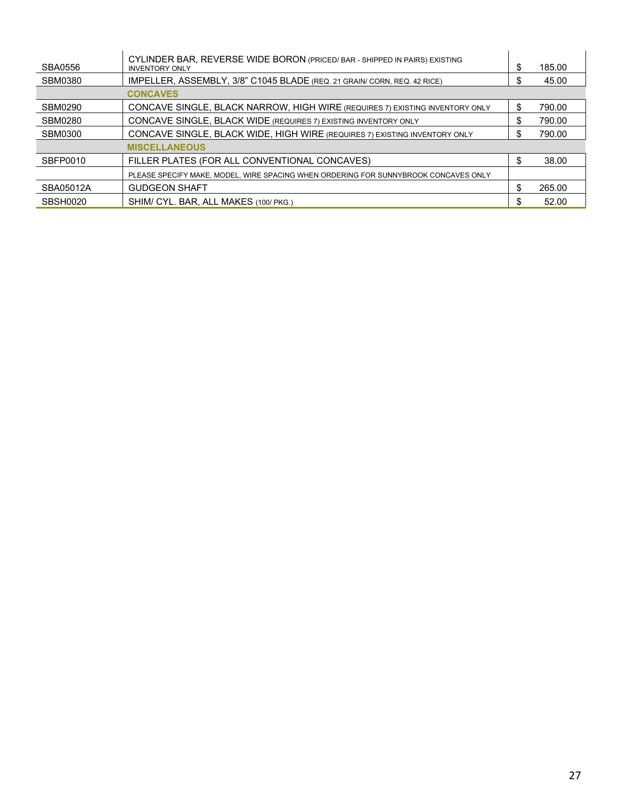| SBA0556   | CYLINDER BAR, REVERSE WIDE BORON (PRICED/ BAR - SHIPPED IN PAIRS) EXISTING<br><b>INVENTORY ONLY</b> | \$  | 185.00 |
|-----------|-----------------------------------------------------------------------------------------------------|-----|--------|
| SBM0380   | IMPELLER, ASSEMBLY, 3/8" C1045 BLADE (REQ. 21 GRAIN/ CORN, REQ. 42 RICE)                            | \$. | 45.00  |
|           | <b>CONCAVES</b>                                                                                     |     |        |
| SBM0290   | CONCAVE SINGLE, BLACK NARROW, HIGH WIRE (REQUIRES 7) EXISTING INVENTORY ONLY                        | \$  | 790.00 |
| SBM0280   | CONCAVE SINGLE, BLACK WIDE (REQUIRES 7) EXISTING INVENTORY ONLY                                     | \$. | 790.00 |
| SBM0300   | CONCAVE SINGLE, BLACK WIDE, HIGH WIRE (REQUIRES 7) EXISTING INVENTORY ONLY                          | S.  | 790.00 |
|           | <b>MISCELLANEOUS</b>                                                                                |     |        |
| SBFP0010  | FILLER PLATES (FOR ALL CONVENTIONAL CONCAVES)                                                       | \$  | 38.00  |
|           | PLEASE SPECIFY MAKE, MODEL, WIRE SPACING WHEN ORDERING FOR SUNNYBROOK CONCAVES ONLY                 |     |        |
| SBA05012A | <b>GUDGEON SHAFT</b>                                                                                | \$  | 265.00 |
| SBSH0020  | SHIM/ CYL, BAR, ALL MAKES (100/ PKG.)                                                               |     | 52.00  |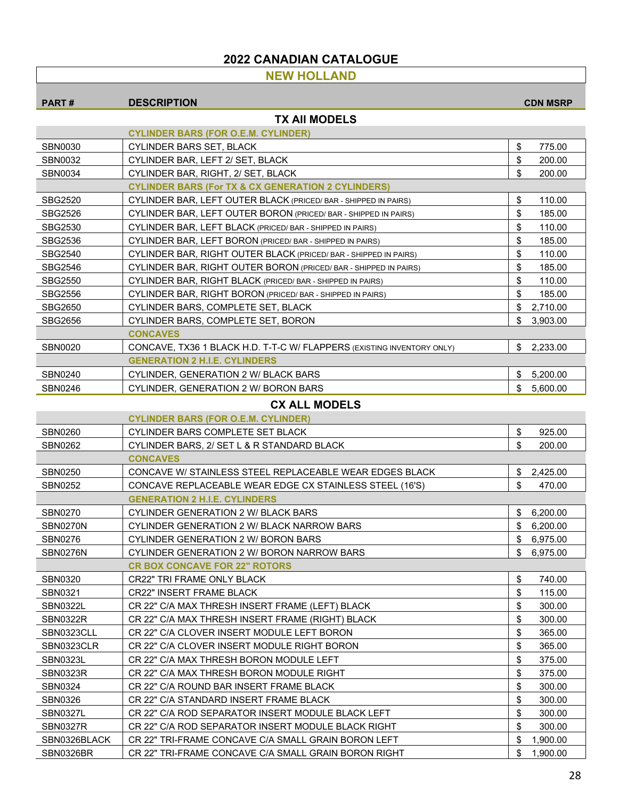#### **NEW HOLLAND**

| <b>PART#</b>                               | <b>DESCRIPTION</b>                                                                 |          | <b>CDN MSRP</b>      |  |  |  |
|--------------------------------------------|------------------------------------------------------------------------------------|----------|----------------------|--|--|--|
| <b>TX AII MODELS</b>                       |                                                                                    |          |                      |  |  |  |
| <b>CYLINDER BARS (FOR O.E.M. CYLINDER)</b> |                                                                                    |          |                      |  |  |  |
| <b>SBN0030</b>                             | <b>CYLINDER BARS SET. BLACK</b>                                                    | \$       | 775.00               |  |  |  |
| <b>SBN0032</b>                             | CYLINDER BAR, LEFT 2/ SET, BLACK                                                   | \$       | 200.00               |  |  |  |
| SBN0034                                    | CYLINDER BAR, RIGHT, 2/ SET, BLACK                                                 | \$       | 200.00               |  |  |  |
|                                            | <b>CYLINDER BARS (For TX &amp; CX GENERATION 2 CYLINDERS)</b>                      |          |                      |  |  |  |
| SBG2520                                    | CYLINDER BAR, LEFT OUTER BLACK (PRICED/ BAR - SHIPPED IN PAIRS)                    | \$       | 110.00               |  |  |  |
| SBG2526                                    | CYLINDER BAR, LEFT OUTER BORON (PRICED/ BAR - SHIPPED IN PAIRS)                    | \$       | 185.00               |  |  |  |
| SBG2530                                    | CYLINDER BAR, LEFT BLACK (PRICED/ BAR - SHIPPED IN PAIRS)                          | \$       | 110.00               |  |  |  |
| SBG2536                                    | CYLINDER BAR, LEFT BORON (PRICED/ BAR - SHIPPED IN PAIRS)                          | \$       | 185.00               |  |  |  |
| SBG2540                                    | CYLINDER BAR, RIGHT OUTER BLACK (PRICED/BAR - SHIPPED IN PAIRS)                    | \$       | 110.00               |  |  |  |
| SBG2546                                    | CYLINDER BAR, RIGHT OUTER BORON (PRICED/ BAR - SHIPPED IN PAIRS)                   | \$       | 185.00               |  |  |  |
| <b>SBG2550</b>                             | CYLINDER BAR, RIGHT BLACK (PRICED/BAR - SHIPPED IN PAIRS)                          | \$       | 110.00               |  |  |  |
| SBG2556                                    | CYLINDER BAR, RIGHT BORON (PRICED/ BAR - SHIPPED IN PAIRS)                         | \$       | 185.00               |  |  |  |
| SBG2650                                    | CYLINDER BARS, COMPLETE SET, BLACK                                                 | \$       | 2,710.00             |  |  |  |
| SBG2656                                    | CYLINDER BARS, COMPLETE SET, BORON                                                 | \$       | 3,903.00             |  |  |  |
|                                            | <b>CONCAVES</b>                                                                    |          |                      |  |  |  |
| <b>SBN0020</b>                             | CONCAVE, TX36 1 BLACK H.D. T-T-C W/ FLAPPERS (EXISTING INVENTORY ONLY)             | \$       | 2,233.00             |  |  |  |
|                                            | <b>GENERATION 2 H.I.E. CYLINDERS</b>                                               |          |                      |  |  |  |
| <b>SBN0240</b>                             | CYLINDER, GENERATION 2 W/ BLACK BARS                                               | \$       | 5,200.00             |  |  |  |
| SBN0246                                    | CYLINDER, GENERATION 2 W/ BORON BARS                                               | \$       | 5,600.00             |  |  |  |
|                                            | <b>CX ALL MODELS</b>                                                               |          |                      |  |  |  |
|                                            | <b>CYLINDER BARS (FOR O.E.M. CYLINDER)</b>                                         |          |                      |  |  |  |
| <b>SBN0260</b>                             | CYLINDER BARS COMPLETE SET BLACK                                                   | \$       | 925.00               |  |  |  |
| SBN0262                                    | CYLINDER BARS, 2/ SET L & R STANDARD BLACK                                         | \$       | 200.00               |  |  |  |
|                                            | <b>CONCAVES</b>                                                                    |          |                      |  |  |  |
| <b>SBN0250</b>                             | CONCAVE W/ STAINLESS STEEL REPLACEABLE WEAR EDGES BLACK                            | \$       | 2,425.00             |  |  |  |
| SBN0252                                    | CONCAVE REPLACEABLE WEAR EDGE CX STAINLESS STEEL (16'S)                            | \$       | 470.00               |  |  |  |
|                                            | <b>GENERATION 2 H.I.E. CYLINDERS</b>                                               |          |                      |  |  |  |
| <b>SBN0270</b>                             | <b>CYLINDER GENERATION 2 W/ BLACK BARS</b>                                         | \$       | 6,200.00             |  |  |  |
| SBN0270N                                   | CYLINDER GENERATION 2 W/ BLACK NARROW BARS                                         | \$       | 6,200.00             |  |  |  |
| <b>SBN0276</b>                             | <b>CYLINDER GENERATION 2 W/ BORON BARS</b>                                         | \$       | 6,975.00             |  |  |  |
|                                            |                                                                                    | \$       | 6,975.00             |  |  |  |
| SBN0276N                                   | CYLINDER GENERATION 2 W/ BORON NARROW BARS<br><b>CR BOX CONCAVE FOR 22" ROTORS</b> |          |                      |  |  |  |
| <b>SBN0320</b>                             | CR22" TRI FRAME ONLY BLACK                                                         | \$       | 740.00               |  |  |  |
| SBN0321                                    | <b>CR22" INSERT FRAME BLACK</b>                                                    | \$       | 115.00               |  |  |  |
| <b>SBN0322L</b>                            | CR 22" C/A MAX THRESH INSERT FRAME (LEFT) BLACK                                    | \$       | 300.00               |  |  |  |
| SBN0322R                                   | CR 22" C/A MAX THRESH INSERT FRAME (RIGHT) BLACK                                   | \$       | 300.00               |  |  |  |
| SBN0323CLL                                 | CR 22" C/A CLOVER INSERT MODULE LEFT BORON                                         | \$       | 365.00               |  |  |  |
| SBN0323CLR                                 | CR 22" C/A CLOVER INSERT MODULE RIGHT BORON                                        | \$       | 365.00               |  |  |  |
|                                            | CR 22" C/A MAX THRESH BORON MODULE LEFT                                            | \$       |                      |  |  |  |
| SBN0323L<br>SBN0323R                       |                                                                                    | \$       | 375.00               |  |  |  |
|                                            | CR 22" C/A MAX THRESH BORON MODULE RIGHT                                           |          | 375.00               |  |  |  |
| SBN0324                                    | CR 22" C/A ROUND BAR INSERT FRAME BLACK                                            | \$       | 300.00               |  |  |  |
| SBN0326                                    | CR 22" C/A STANDARD INSERT FRAME BLACK                                             | \$<br>\$ | 300.00               |  |  |  |
| SBN0327L                                   | CR 22" C/A ROD SEPARATOR INSERT MODULE BLACK LEFT                                  |          | 300.00               |  |  |  |
| SBN0327R                                   | CR 22" C/A ROD SEPARATOR INSERT MODULE BLACK RIGHT                                 | \$<br>\$ | 300.00               |  |  |  |
| SBN0326BLACK                               | CR 22" TRI-FRAME CONCAVE C/A SMALL GRAIN BORON LEFT                                | \$       | 1,900.00<br>1,900.00 |  |  |  |
| SBN0326BR                                  | CR 22" TRI-FRAME CONCAVE C/A SMALL GRAIN BORON RIGHT                               |          |                      |  |  |  |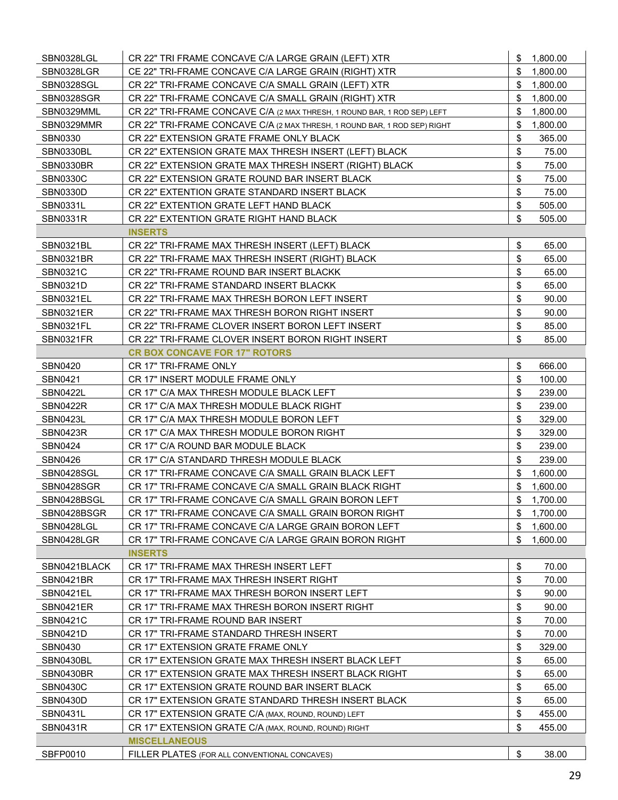| SBN0328LGL       | CR 22" TRI FRAME CONCAVE C/A LARGE GRAIN (LEFT) XTR                                                | S  | 1,800.00 |
|------------------|----------------------------------------------------------------------------------------------------|----|----------|
| SBN0328LGR       | CE 22" TRI-FRAME CONCAVE C/A LARGE GRAIN (RIGHT) XTR                                               | \$ | 1,800.00 |
| SBN0328SGL       | CR 22" TRI-FRAME CONCAVE C/A SMALL GRAIN (LEFT) XTR                                                | \$ | 1,800.00 |
| SBN0328SGR       | CR 22" TRI-FRAME CONCAVE C/A SMALL GRAIN (RIGHT) XTR                                               | \$ | 1,800.00 |
| SBN0329MML       | CR 22" TRI-FRAME CONCAVE C/A (2 MAX THRESH, 1 ROUND BAR, 1 ROD SEP) LEFT                           | \$ | 1,800.00 |
| SBN0329MMR       | CR 22" TRI-FRAME CONCAVE C/A (2 MAX THRESH, 1 ROUND BAR, 1 ROD SEP) RIGHT                          | \$ | 1,800.00 |
| <b>SBN0330</b>   | CR 22" EXTENSION GRATE FRAME ONLY BLACK                                                            | \$ | 365.00   |
| SBN0330BL        | CR 22" EXTENSION GRATE MAX THRESH INSERT (LEFT) BLACK                                              | \$ | 75.00    |
| SBN0330BR        | CR 22" EXTENSION GRATE MAX THRESH INSERT (RIGHT) BLACK                                             | \$ | 75.00    |
| <b>SBN0330C</b>  | CR 22" EXTENSION GRATE ROUND BAR INSERT BLACK                                                      | \$ | 75.00    |
| <b>SBN0330D</b>  | CR 22" EXTENTION GRATE STANDARD INSERT BLACK                                                       | \$ | 75.00    |
| <b>SBN0331L</b>  | CR 22" EXTENTION GRATE LEFT HAND BLACK                                                             | \$ | 505.00   |
| <b>SBN0331R</b>  | CR 22" EXTENTION GRATE RIGHT HAND BLACK                                                            | \$ | 505.00   |
|                  | <b>INSERTS</b>                                                                                     |    |          |
| SBN0321BL        | CR 22" TRI-FRAME MAX THRESH INSERT (LEFT) BLACK                                                    | \$ | 65.00    |
| SBN0321BR        | CR 22" TRI-FRAME MAX THRESH INSERT (RIGHT) BLACK                                                   | \$ | 65.00    |
| <b>SBN0321C</b>  |                                                                                                    | \$ | 65.00    |
| <b>SBN0321D</b>  | CR 22" TRI-FRAME ROUND BAR INSERT BLACKK                                                           | \$ | 65.00    |
|                  | CR 22" TRI-FRAME STANDARD INSERT BLACKK                                                            | \$ | 90.00    |
| SBN0321EL        | CR 22" TRI-FRAME MAX THRESH BORON LEFT INSERT                                                      | \$ |          |
| <b>SBN0321ER</b> | CR 22" TRI-FRAME MAX THRESH BORON RIGHT INSERT<br>CR 22" TRI-FRAME CLOVER INSERT BORON LEFT INSERT | \$ | 90.00    |
| SBN0321FL        |                                                                                                    | \$ | 85.00    |
| SBN0321FR        | CR 22" TRI-FRAME CLOVER INSERT BORON RIGHT INSERT                                                  |    | 85.00    |
|                  | <b>CR BOX CONCAVE FOR 17" ROTORS</b>                                                               |    |          |
| SBN0420          | CR 17" TRI-FRAME ONLY                                                                              | \$ | 666.00   |
| SBN0421          | CR 17" INSERT MODULE FRAME ONLY                                                                    | \$ | 100.00   |
| SBN0422L         | CR 17" C/A MAX THRESH MODULE BLACK LEFT                                                            | \$ | 239.00   |
| <b>SBN0422R</b>  | CR 17" C/A MAX THRESH MODULE BLACK RIGHT                                                           | \$ | 239.00   |
| SBN0423L         | CR 17" C/A MAX THRESH MODULE BORON LEFT                                                            | \$ | 329.00   |
| SBN0423R         | CR 17" C/A MAX THRESH MODULE BORON RIGHT                                                           | \$ | 329.00   |
| <b>SBN0424</b>   | CR 17" C/A ROUND BAR MODULE BLACK                                                                  | \$ | 239.00   |
| SBN0426          | CR 17" C/A STANDARD THRESH MODULE BLACK                                                            | \$ | 239.00   |
| SBN0428SGL       | CR 17" TRI-FRAME CONCAVE C/A SMALL GRAIN BLACK LEFT                                                | \$ | 1,600.00 |
| SBN0428SGR       | CR 17" TRI-FRAME CONCAVE C/A SMALL GRAIN BLACK RIGHT                                               | \$ | 1,600.00 |
| SBN0428BSGL      | CR 17" TRI-FRAME CONCAVE C/A SMALL GRAIN BORON LEFT                                                | \$ | 1,700.00 |
| SBN0428BSGR      | CR 17" TRI-FRAME CONCAVE C/A SMALL GRAIN BORON RIGHT                                               | \$ | 1,700.00 |
| SBN0428LGL       | CR 17" TRI-FRAME CONCAVE C/A LARGE GRAIN BORON LEFT                                                | \$ | 1,600.00 |
| SBN0428LGR       | CR 17" TRI-FRAME CONCAVE C/A LARGE GRAIN BORON RIGHT                                               | \$ | 1.600.00 |
|                  | <b>INSERTS</b>                                                                                     |    |          |
| SBN0421BLACK     | CR 17" TRI-FRAME MAX THRESH INSERT LEFT                                                            | \$ | 70.00    |
| SBN0421BR        | CR 17" TRI-FRAME MAX THRESH INSERT RIGHT                                                           | \$ | 70.00    |
| SBN0421EL        | CR 17" TRI-FRAME MAX THRESH BORON INSERT LEFT                                                      | \$ | 90.00    |
| SBN0421ER        | CR 17" TRI-FRAME MAX THRESH BORON INSERT RIGHT                                                     | \$ | 90.00    |
| <b>SBN0421C</b>  | CR 17" TRI-FRAME ROUND BAR INSERT                                                                  | \$ | 70.00    |
| <b>SBN0421D</b>  | CR 17" TRI-FRAME STANDARD THRESH INSERT                                                            | \$ | 70.00    |
| SBN0430          | CR 17" EXTENSION GRATE FRAME ONLY                                                                  | \$ | 329.00   |
| SBN0430BL        | CR 17" EXTENSION GRATE MAX THRESH INSERT BLACK LEFT                                                | \$ | 65.00    |
| SBN0430BR        | CR 17" EXTENSION GRATE MAX THRESH INSERT BLACK RIGHT                                               | \$ | 65.00    |
| <b>SBN0430C</b>  | CR 17" EXTENSION GRATE ROUND BAR INSERT BLACK                                                      | \$ | 65.00    |
| SBN0430D         | CR 17" EXTENSION GRATE STANDARD THRESH INSERT BLACK                                                | \$ | 65.00    |
| <b>SBN0431L</b>  | CR 17" EXTENSION GRATE C/A (MAX, ROUND, ROUND) LEFT                                                | \$ | 455.00   |
| <b>SBN0431R</b>  | CR 17" EXTENSION GRATE C/A (MAX, ROUND, ROUND) RIGHT                                               | \$ | 455.00   |
|                  | <b>MISCELLANEOUS</b>                                                                               |    |          |
| <b>SBFP0010</b>  | FILLER PLATES (FOR ALL CONVENTIONAL CONCAVES)                                                      | \$ | 38.00    |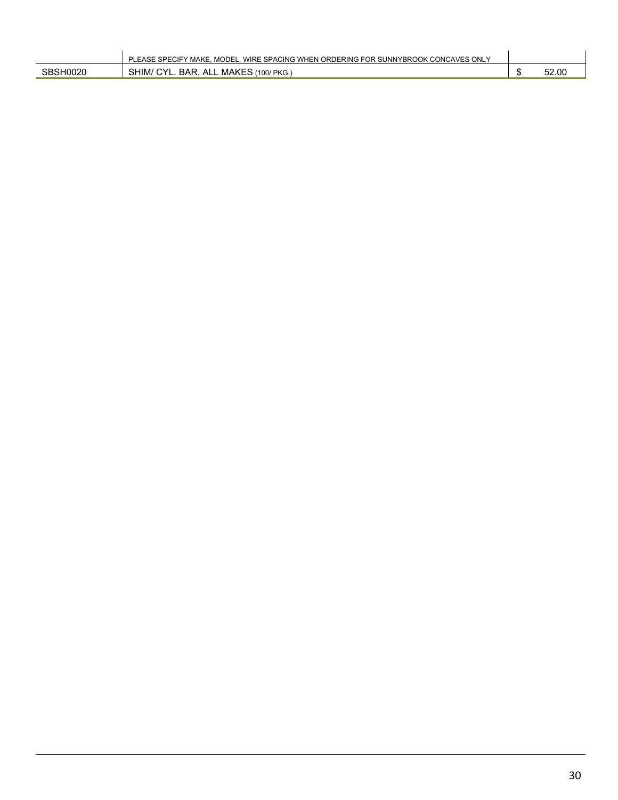|                 | T. MODEL.<br>. WIRE SPACING WHEN ORDERING FOR SUNNYBROOK CONCAVES ONLY<br><b>SPECIFY MAKE.</b><br>LEASE. |       |
|-----------------|----------------------------------------------------------------------------------------------------------|-------|
| <b>SBSH0020</b> | <b>MAKES</b> (100/ PKG.)<br>SHIM/ CYL<br><b>BAR</b><br>ALL                                               | 52.00 |
|                 |                                                                                                          |       |